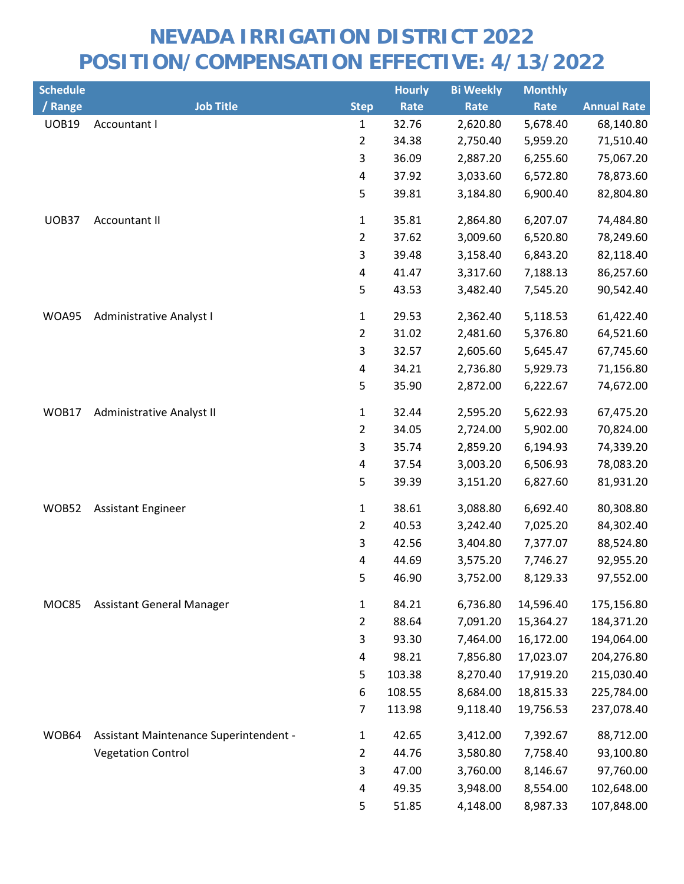| <b>Schedule</b> |                                        |                         | <b>Hourly</b> | <b>Bi Weekly</b> | <b>Monthly</b> |                    |
|-----------------|----------------------------------------|-------------------------|---------------|------------------|----------------|--------------------|
| / Range         | <b>Job Title</b>                       | <b>Step</b>             | Rate          | Rate             | Rate           | <b>Annual Rate</b> |
| <b>UOB19</b>    | Accountant I                           | $\mathbf{1}$            | 32.76         | 2,620.80         | 5,678.40       | 68,140.80          |
|                 |                                        | $\overline{2}$          | 34.38         | 2,750.40         | 5,959.20       | 71,510.40          |
|                 |                                        | 3                       | 36.09         | 2,887.20         | 6,255.60       | 75,067.20          |
|                 |                                        | $\overline{\mathbf{4}}$ | 37.92         | 3,033.60         | 6,572.80       | 78,873.60          |
|                 |                                        | 5                       | 39.81         | 3,184.80         | 6,900.40       | 82,804.80          |
| UOB37           | Accountant II                          | $\mathbf{1}$            | 35.81         | 2,864.80         | 6,207.07       | 74,484.80          |
|                 |                                        | $\overline{2}$          | 37.62         | 3,009.60         | 6,520.80       | 78,249.60          |
|                 |                                        | 3                       | 39.48         | 3,158.40         | 6,843.20       | 82,118.40          |
|                 |                                        | 4                       | 41.47         | 3,317.60         | 7,188.13       | 86,257.60          |
|                 |                                        | 5                       | 43.53         | 3,482.40         | 7,545.20       | 90,542.40          |
| WOA95           | Administrative Analyst I               | $\mathbf{1}$            | 29.53         | 2,362.40         | 5,118.53       | 61,422.40          |
|                 |                                        | $\overline{2}$          | 31.02         | 2,481.60         | 5,376.80       | 64,521.60          |
|                 |                                        | 3                       | 32.57         | 2,605.60         | 5,645.47       | 67,745.60          |
|                 |                                        | 4                       | 34.21         | 2,736.80         | 5,929.73       | 71,156.80          |
|                 |                                        | 5                       | 35.90         | 2,872.00         | 6,222.67       | 74,672.00          |
| WOB17           | Administrative Analyst II              | $\mathbf 1$             | 32.44         | 2,595.20         | 5,622.93       | 67,475.20          |
|                 |                                        | $\overline{2}$          | 34.05         | 2,724.00         | 5,902.00       | 70,824.00          |
|                 |                                        | 3                       | 35.74         | 2,859.20         | 6,194.93       | 74,339.20          |
|                 |                                        | 4                       | 37.54         | 3,003.20         | 6,506.93       | 78,083.20          |
|                 |                                        | 5                       | 39.39         | 3,151.20         | 6,827.60       | 81,931.20          |
| WOB52           | <b>Assistant Engineer</b>              | $\mathbf 1$             | 38.61         | 3,088.80         | 6,692.40       | 80,308.80          |
|                 |                                        | $\overline{2}$          | 40.53         | 3,242.40         | 7,025.20       | 84,302.40          |
|                 |                                        | 3                       | 42.56         | 3,404.80         | 7,377.07       | 88,524.80          |
|                 |                                        | 4                       | 44.69         | 3,575.20         | 7,746.27       | 92,955.20          |
|                 |                                        | 5                       | 46.90         | 3,752.00         | 8,129.33       | 97,552.00          |
| MOC85           | <b>Assistant General Manager</b>       | $\mathbf{1}$            | 84.21         | 6,736.80         | 14,596.40      | 175,156.80         |
|                 |                                        | $\overline{2}$          | 88.64         | 7,091.20         | 15,364.27      | 184,371.20         |
|                 |                                        | 3                       | 93.30         | 7,464.00         | 16,172.00      | 194,064.00         |
|                 |                                        | 4                       | 98.21         | 7,856.80         | 17,023.07      | 204,276.80         |
|                 |                                        | 5                       | 103.38        | 8,270.40         | 17,919.20      | 215,030.40         |
|                 |                                        | 6                       | 108.55        | 8,684.00         | 18,815.33      | 225,784.00         |
|                 |                                        | 7                       | 113.98        | 9,118.40         | 19,756.53      | 237,078.40         |
| WOB64           | Assistant Maintenance Superintendent - | $\mathbf{1}$            | 42.65         | 3,412.00         | 7,392.67       | 88,712.00          |
|                 | <b>Vegetation Control</b>              | $\overline{2}$          | 44.76         | 3,580.80         | 7,758.40       | 93,100.80          |
|                 |                                        | 3                       | 47.00         | 3,760.00         | 8,146.67       | 97,760.00          |
|                 |                                        | 4                       | 49.35         | 3,948.00         | 8,554.00       | 102,648.00         |
|                 |                                        | 5                       | 51.85         | 4,148.00         | 8,987.33       | 107,848.00         |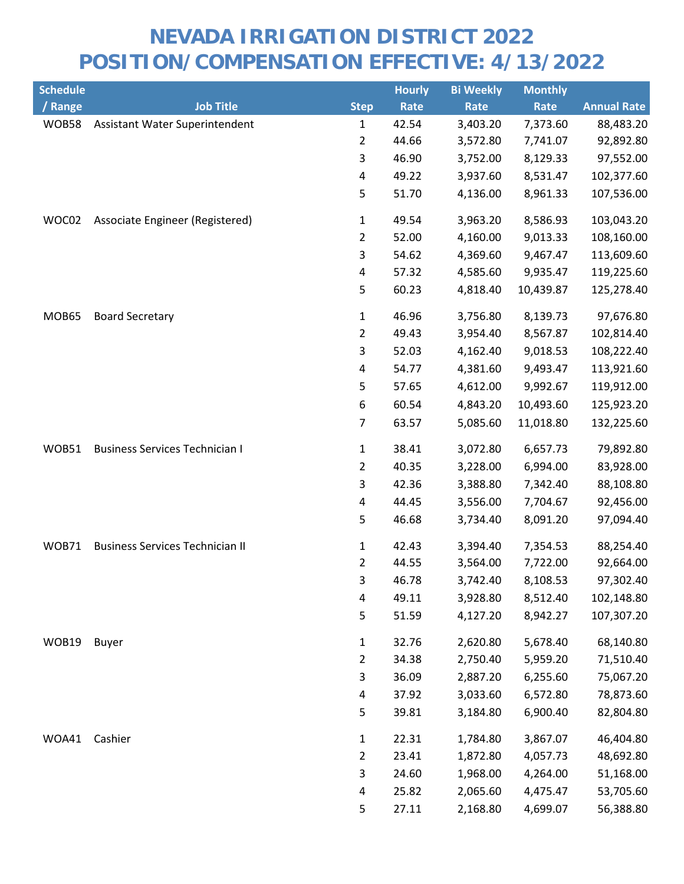| <b>Schedule</b> |                                        |                | <b>Hourly</b> | <b>Bi Weekly</b> | <b>Monthly</b> |                    |
|-----------------|----------------------------------------|----------------|---------------|------------------|----------------|--------------------|
| / Range         | <b>Job Title</b>                       | <b>Step</b>    | Rate          | Rate             | Rate           | <b>Annual Rate</b> |
| WOB58           | Assistant Water Superintendent         | 1              | 42.54         | 3,403.20         | 7,373.60       | 88,483.20          |
|                 |                                        | $\overline{2}$ | 44.66         | 3,572.80         | 7,741.07       | 92,892.80          |
|                 |                                        | 3              | 46.90         | 3,752.00         | 8,129.33       | 97,552.00          |
|                 |                                        | 4              | 49.22         | 3,937.60         | 8,531.47       | 102,377.60         |
|                 |                                        | 5              | 51.70         | 4,136.00         | 8,961.33       | 107,536.00         |
| WOC02           | Associate Engineer (Registered)        | 1              | 49.54         | 3,963.20         | 8,586.93       | 103,043.20         |
|                 |                                        | $\overline{2}$ | 52.00         | 4,160.00         | 9,013.33       | 108,160.00         |
|                 |                                        | 3              | 54.62         | 4,369.60         | 9,467.47       | 113,609.60         |
|                 |                                        | 4              | 57.32         | 4,585.60         | 9,935.47       | 119,225.60         |
|                 |                                        | 5              | 60.23         | 4,818.40         | 10,439.87      | 125,278.40         |
| MOB65           | <b>Board Secretary</b>                 | 1              | 46.96         | 3,756.80         | 8,139.73       | 97,676.80          |
|                 |                                        | $\overline{2}$ | 49.43         | 3,954.40         | 8,567.87       | 102,814.40         |
|                 |                                        | $\mathsf{3}$   | 52.03         | 4,162.40         | 9,018.53       | 108,222.40         |
|                 |                                        | 4              | 54.77         | 4,381.60         | 9,493.47       | 113,921.60         |
|                 |                                        | 5              | 57.65         | 4,612.00         | 9,992.67       | 119,912.00         |
|                 |                                        | 6              | 60.54         | 4,843.20         | 10,493.60      | 125,923.20         |
|                 |                                        | $\overline{7}$ | 63.57         | 5,085.60         | 11,018.80      | 132,225.60         |
| WOB51           | <b>Business Services Technician I</b>  | 1              | 38.41         | 3,072.80         | 6,657.73       | 79,892.80          |
|                 |                                        | $\overline{2}$ | 40.35         | 3,228.00         | 6,994.00       | 83,928.00          |
|                 |                                        | 3              | 42.36         | 3,388.80         | 7,342.40       | 88,108.80          |
|                 |                                        | 4              | 44.45         | 3,556.00         | 7,704.67       | 92,456.00          |
|                 |                                        | 5              | 46.68         | 3,734.40         | 8,091.20       | 97,094.40          |
| WOB71           | <b>Business Services Technician II</b> | 1              | 42.43         | 3,394.40         | 7,354.53       | 88,254.40          |
|                 |                                        | $\overline{2}$ | 44.55         | 3,564.00         | 7,722.00       | 92,664.00          |
|                 |                                        | 3.             | 46.78         | 3,742.40         | 8,108.53       | 97,302.40          |
|                 |                                        | 4              | 49.11         | 3,928.80         | 8,512.40       | 102,148.80         |
|                 |                                        | 5              | 51.59         | 4,127.20         | 8,942.27       | 107,307.20         |
| WOB19           | <b>Buyer</b>                           | $\mathbf{1}$   | 32.76         | 2,620.80         | 5,678.40       | 68,140.80          |
|                 |                                        | $\overline{2}$ | 34.38         | 2,750.40         | 5,959.20       | 71,510.40          |
|                 |                                        | 3              | 36.09         | 2,887.20         | 6,255.60       | 75,067.20          |
|                 |                                        | 4              | 37.92         | 3,033.60         | 6,572.80       | 78,873.60          |
|                 |                                        | 5              | 39.81         | 3,184.80         | 6,900.40       | 82,804.80          |
| WOA41           | Cashier                                | 1              | 22.31         | 1,784.80         | 3,867.07       | 46,404.80          |
|                 |                                        | $\overline{2}$ | 23.41         | 1,872.80         | 4,057.73       | 48,692.80          |
|                 |                                        | 3              | 24.60         | 1,968.00         | 4,264.00       | 51,168.00          |
|                 |                                        | 4              | 25.82         | 2,065.60         | 4,475.47       | 53,705.60          |
|                 |                                        | 5              | 27.11         | 2,168.80         | 4,699.07       | 56,388.80          |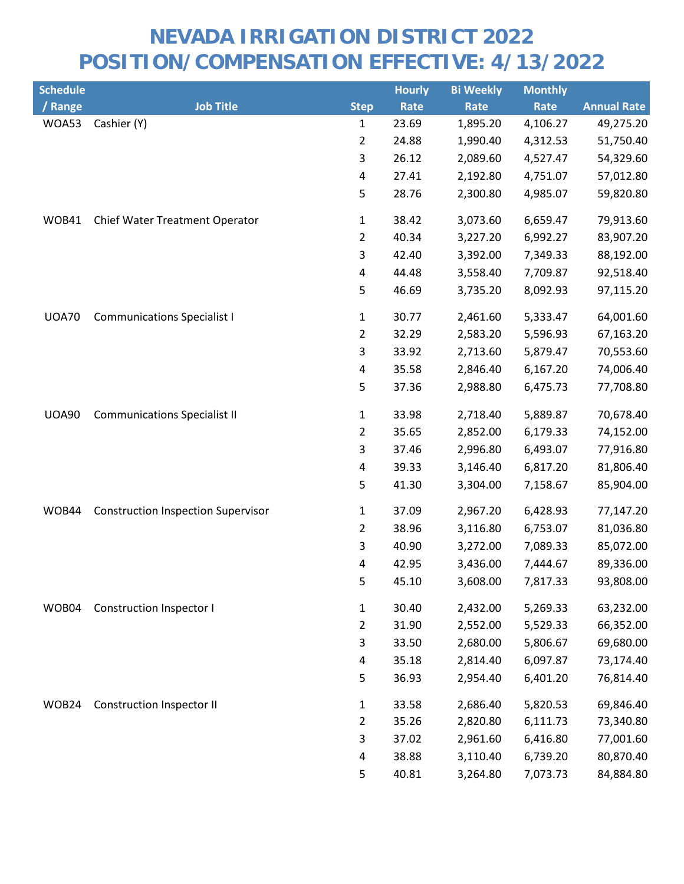| <b>Schedule</b> |                                           |                         | <b>Hourly</b> | <b>Bi Weekly</b> | <b>Monthly</b> |                    |
|-----------------|-------------------------------------------|-------------------------|---------------|------------------|----------------|--------------------|
| / Range         | <b>Job Title</b>                          | <b>Step</b>             | Rate          | Rate             | Rate           | <b>Annual Rate</b> |
| WOA53           | Cashier (Y)                               | 1                       | 23.69         | 1,895.20         | 4,106.27       | 49,275.20          |
|                 |                                           | $\overline{2}$          | 24.88         | 1,990.40         | 4,312.53       | 51,750.40          |
|                 |                                           | 3                       | 26.12         | 2,089.60         | 4,527.47       | 54,329.60          |
|                 |                                           | 4                       | 27.41         | 2,192.80         | 4,751.07       | 57,012.80          |
|                 |                                           | 5                       | 28.76         | 2,300.80         | 4,985.07       | 59,820.80          |
| WOB41           | Chief Water Treatment Operator            | $\mathbf{1}$            | 38.42         | 3,073.60         | 6,659.47       | 79,913.60          |
|                 |                                           | $\overline{2}$          | 40.34         | 3,227.20         | 6,992.27       | 83,907.20          |
|                 |                                           | 3                       | 42.40         | 3,392.00         | 7,349.33       | 88,192.00          |
|                 |                                           | 4                       | 44.48         | 3,558.40         | 7,709.87       | 92,518.40          |
|                 |                                           | 5                       | 46.69         | 3,735.20         | 8,092.93       | 97,115.20          |
| <b>UOA70</b>    | <b>Communications Specialist I</b>        | $\mathbf{1}$            | 30.77         | 2,461.60         | 5,333.47       | 64,001.60          |
|                 |                                           | $\overline{2}$          | 32.29         | 2,583.20         | 5,596.93       | 67,163.20          |
|                 |                                           | 3                       | 33.92         | 2,713.60         | 5,879.47       | 70,553.60          |
|                 |                                           | 4                       | 35.58         | 2,846.40         | 6,167.20       | 74,006.40          |
|                 |                                           | 5                       | 37.36         | 2,988.80         | 6,475.73       | 77,708.80          |
| <b>UOA90</b>    | <b>Communications Specialist II</b>       | $\mathbf{1}$            | 33.98         | 2,718.40         | 5,889.87       | 70,678.40          |
|                 |                                           | $\overline{2}$          | 35.65         | 2,852.00         | 6,179.33       | 74,152.00          |
|                 |                                           | 3                       | 37.46         | 2,996.80         | 6,493.07       | 77,916.80          |
|                 |                                           | 4                       | 39.33         | 3,146.40         | 6,817.20       | 81,806.40          |
|                 |                                           | 5                       | 41.30         | 3,304.00         | 7,158.67       | 85,904.00          |
| WOB44           | <b>Construction Inspection Supervisor</b> | $\mathbf{1}$            | 37.09         | 2,967.20         | 6,428.93       | 77,147.20          |
|                 |                                           | $\overline{2}$          | 38.96         | 3,116.80         | 6,753.07       | 81,036.80          |
|                 |                                           | 3                       | 40.90         | 3,272.00         | 7,089.33       | 85,072.00          |
|                 |                                           | $\overline{\mathbf{4}}$ | 42.95         | 3,436.00         | 7,444.67       | 89,336.00          |
|                 |                                           | 5                       | 45.10         | 3,608.00         | 7,817.33       | 93,808.00          |
| WOB04           | Construction Inspector I                  | $\mathbf{1}$            | 30.40         | 2,432.00         | 5,269.33       | 63,232.00          |
|                 |                                           | 2                       | 31.90         | 2,552.00         | 5,529.33       | 66,352.00          |
|                 |                                           | 3                       | 33.50         | 2,680.00         | 5,806.67       | 69,680.00          |
|                 |                                           | 4                       | 35.18         | 2,814.40         | 6,097.87       | 73,174.40          |
|                 |                                           | 5                       | 36.93         | 2,954.40         | 6,401.20       | 76,814.40          |
| WOB24           | <b>Construction Inspector II</b>          | $\mathbf{1}$            | 33.58         | 2,686.40         | 5,820.53       | 69,846.40          |
|                 |                                           | $\overline{2}$          | 35.26         | 2,820.80         | 6,111.73       | 73,340.80          |
|                 |                                           | 3                       | 37.02         | 2,961.60         | 6,416.80       | 77,001.60          |
|                 |                                           | 4                       | 38.88         | 3,110.40         | 6,739.20       | 80,870.40          |
|                 |                                           | 5                       | 40.81         | 3,264.80         | 7,073.73       | 84,884.80          |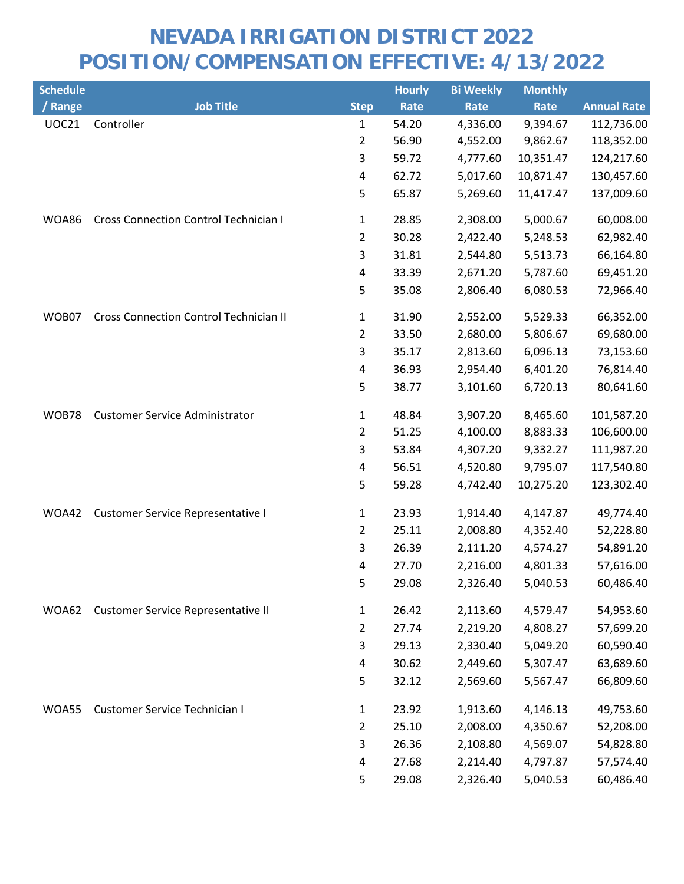| <b>Schedule</b> |                                               |                | <b>Hourly</b> | <b>Bi Weekly</b> | <b>Monthly</b> |                    |
|-----------------|-----------------------------------------------|----------------|---------------|------------------|----------------|--------------------|
| / Range         | <b>Job Title</b>                              | <b>Step</b>    | Rate          | Rate             | Rate           | <b>Annual Rate</b> |
| <b>UOC21</b>    | Controller                                    | 1              | 54.20         | 4,336.00         | 9,394.67       | 112,736.00         |
|                 |                                               | $\overline{c}$ | 56.90         | 4,552.00         | 9,862.67       | 118,352.00         |
|                 |                                               | 3              | 59.72         | 4,777.60         | 10,351.47      | 124,217.60         |
|                 |                                               | 4              | 62.72         | 5,017.60         | 10,871.47      | 130,457.60         |
|                 |                                               | 5              | 65.87         | 5,269.60         | 11,417.47      | 137,009.60         |
| WOA86           | <b>Cross Connection Control Technician I</b>  | 1              | 28.85         | 2,308.00         | 5,000.67       | 60,008.00          |
|                 |                                               | $\overline{2}$ | 30.28         | 2,422.40         | 5,248.53       | 62,982.40          |
|                 |                                               | 3              | 31.81         | 2,544.80         | 5,513.73       | 66,164.80          |
|                 |                                               | 4              | 33.39         | 2,671.20         | 5,787.60       | 69,451.20          |
|                 |                                               | 5              | 35.08         | 2,806.40         | 6,080.53       | 72,966.40          |
| WOB07           | <b>Cross Connection Control Technician II</b> | 1              | 31.90         | 2,552.00         | 5,529.33       | 66,352.00          |
|                 |                                               | $\overline{2}$ | 33.50         | 2,680.00         | 5,806.67       | 69,680.00          |
|                 |                                               | 3              | 35.17         | 2,813.60         | 6,096.13       | 73,153.60          |
|                 |                                               | 4              | 36.93         | 2,954.40         | 6,401.20       | 76,814.40          |
|                 |                                               | 5              | 38.77         | 3,101.60         | 6,720.13       | 80,641.60          |
| WOB78           | <b>Customer Service Administrator</b>         | 1              | 48.84         | 3,907.20         | 8,465.60       | 101,587.20         |
|                 |                                               | $\overline{2}$ | 51.25         | 4,100.00         | 8,883.33       | 106,600.00         |
|                 |                                               | 3              | 53.84         | 4,307.20         | 9,332.27       | 111,987.20         |
|                 |                                               | 4              | 56.51         | 4,520.80         | 9,795.07       | 117,540.80         |
|                 |                                               | 5              | 59.28         | 4,742.40         | 10,275.20      | 123,302.40         |
| WOA42           | <b>Customer Service Representative I</b>      | $\mathbf{1}$   | 23.93         | 1,914.40         | 4,147.87       | 49,774.40          |
|                 |                                               | 2              | 25.11         | 2,008.80         | 4,352.40       | 52,228.80          |
|                 |                                               | 3              | 26.39         | 2,111.20         | 4,574.27       | 54,891.20          |
|                 |                                               | 4              | 27.70         | 2,216.00         | 4,801.33       | 57,616.00          |
|                 |                                               | 5              | 29.08         | 2,326.40         | 5,040.53       | 60,486.40          |
| WOA62           | Customer Service Representative II            | $\mathbf{1}$   | 26.42         | 2,113.60         | 4,579.47       | 54,953.60          |
|                 |                                               | 2              | 27.74         | 2,219.20         | 4,808.27       | 57,699.20          |
|                 |                                               | 3              | 29.13         | 2,330.40         | 5,049.20       | 60,590.40          |
|                 |                                               | $\overline{4}$ | 30.62         | 2,449.60         | 5,307.47       | 63,689.60          |
|                 |                                               | 5              | 32.12         | 2,569.60         | 5,567.47       | 66,809.60          |
| WOA55           | Customer Service Technician I                 | $\mathbf{1}$   | 23.92         | 1,913.60         | 4,146.13       | 49,753.60          |
|                 |                                               | $\overline{2}$ | 25.10         | 2,008.00         | 4,350.67       | 52,208.00          |
|                 |                                               | 3              | 26.36         | 2,108.80         | 4,569.07       | 54,828.80          |
|                 |                                               | 4              | 27.68         | 2,214.40         | 4,797.87       | 57,574.40          |
|                 |                                               | 5              | 29.08         | 2,326.40         | 5,040.53       | 60,486.40          |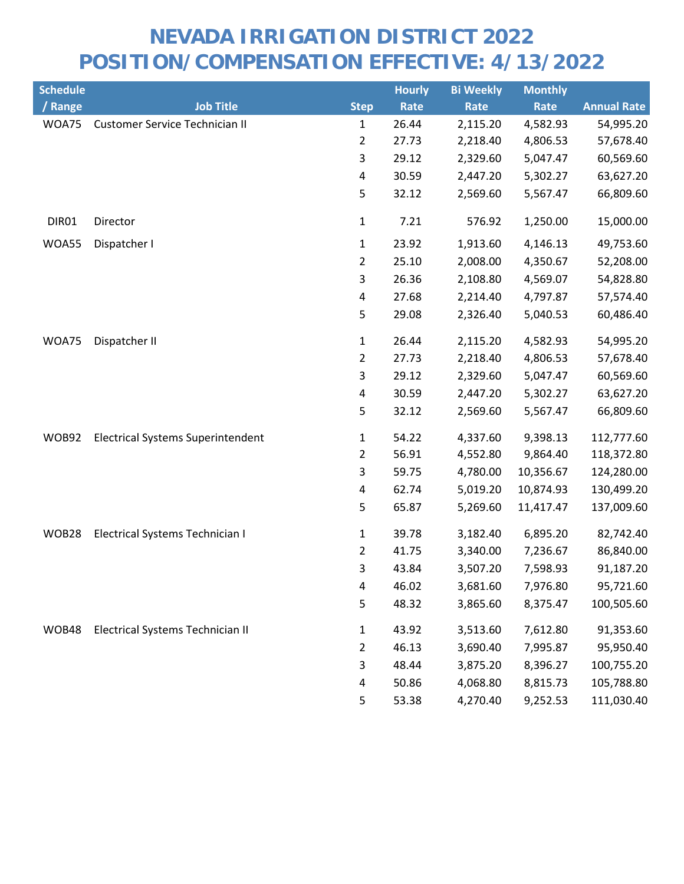| <b>Schedule</b> |                                          |                | <b>Hourly</b> | <b>Bi Weekly</b> | <b>Monthly</b> |                    |
|-----------------|------------------------------------------|----------------|---------------|------------------|----------------|--------------------|
| / Range         | <b>Job Title</b>                         | <b>Step</b>    | Rate          | Rate             | Rate           | <b>Annual Rate</b> |
| WOA75           | <b>Customer Service Technician II</b>    | 1              | 26.44         | 2,115.20         | 4,582.93       | 54,995.20          |
|                 |                                          | $\overline{2}$ | 27.73         | 2,218.40         | 4,806.53       | 57,678.40          |
|                 |                                          | 3              | 29.12         | 2,329.60         | 5,047.47       | 60,569.60          |
|                 |                                          | $\overline{4}$ | 30.59         | 2,447.20         | 5,302.27       | 63,627.20          |
|                 |                                          | 5              | 32.12         | 2,569.60         | 5,567.47       | 66,809.60          |
| DIR01           | Director                                 | $\mathbf 1$    | 7.21          | 576.92           | 1,250.00       | 15,000.00          |
| WOA55           | Dispatcher I                             | $\mathbf{1}$   | 23.92         | 1,913.60         | 4,146.13       | 49,753.60          |
|                 |                                          | $\overline{2}$ | 25.10         | 2,008.00         | 4,350.67       | 52,208.00          |
|                 |                                          | 3              | 26.36         | 2,108.80         | 4,569.07       | 54,828.80          |
|                 |                                          | 4              | 27.68         | 2,214.40         | 4,797.87       | 57,574.40          |
|                 |                                          | 5              | 29.08         | 2,326.40         | 5,040.53       | 60,486.40          |
| WOA75           | Dispatcher II                            | $\mathbf 1$    | 26.44         | 2,115.20         | 4,582.93       | 54,995.20          |
|                 |                                          | $\overline{2}$ | 27.73         | 2,218.40         | 4,806.53       | 57,678.40          |
|                 |                                          | 3              | 29.12         | 2,329.60         | 5,047.47       | 60,569.60          |
|                 |                                          | 4              | 30.59         | 2,447.20         | 5,302.27       | 63,627.20          |
|                 |                                          | 5              | 32.12         | 2,569.60         | 5,567.47       | 66,809.60          |
| WOB92           | <b>Electrical Systems Superintendent</b> | $\mathbf{1}$   | 54.22         | 4,337.60         | 9,398.13       | 112,777.60         |
|                 |                                          | $\overline{2}$ | 56.91         | 4,552.80         | 9,864.40       | 118,372.80         |
|                 |                                          | 3              | 59.75         | 4,780.00         | 10,356.67      | 124,280.00         |
|                 |                                          | 4              | 62.74         | 5,019.20         | 10,874.93      | 130,499.20         |
|                 |                                          | 5              | 65.87         | 5,269.60         | 11,417.47      | 137,009.60         |
| WOB28           | Electrical Systems Technician I          | 1              | 39.78         | 3,182.40         | 6,895.20       | 82,742.40          |
|                 |                                          | $\overline{2}$ | 41.75         | 3,340.00         | 7,236.67       | 86,840.00          |
|                 |                                          | 3              | 43.84         | 3,507.20         | 7,598.93       | 91,187.20          |
|                 |                                          | 4              | 46.02         | 3,681.60         | 7,976.80       | 95,721.60          |
|                 |                                          | 5              | 48.32         | 3,865.60         | 8,375.47       | 100,505.60         |
| WOB48           | Electrical Systems Technician II         | 1              | 43.92         | 3,513.60         | 7,612.80       | 91,353.60          |
|                 |                                          | 2              | 46.13         | 3,690.40         | 7,995.87       | 95,950.40          |
|                 |                                          | 3              | 48.44         | 3,875.20         | 8,396.27       | 100,755.20         |
|                 |                                          | 4              | 50.86         | 4,068.80         | 8,815.73       | 105,788.80         |
|                 |                                          | 5              | 53.38         | 4,270.40         | 9,252.53       | 111,030.40         |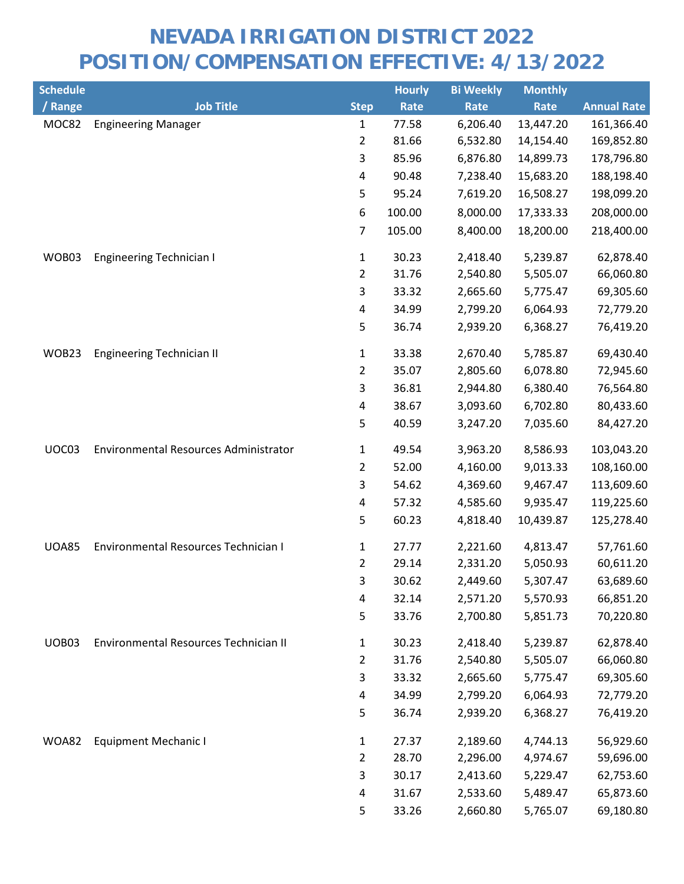| <b>Schedule</b> |                                       |                | <b>Hourly</b> | <b>Bi Weekly</b> | <b>Monthly</b> |                    |
|-----------------|---------------------------------------|----------------|---------------|------------------|----------------|--------------------|
| / Range         | <b>Job Title</b>                      | <b>Step</b>    | Rate          | Rate             | Rate           | <b>Annual Rate</b> |
| MOC82           | <b>Engineering Manager</b>            | 1              | 77.58         | 6,206.40         | 13,447.20      | 161,366.40         |
|                 |                                       | $\overline{2}$ | 81.66         | 6,532.80         | 14,154.40      | 169,852.80         |
|                 |                                       | 3              | 85.96         | 6,876.80         | 14,899.73      | 178,796.80         |
|                 |                                       | 4              | 90.48         | 7,238.40         | 15,683.20      | 188,198.40         |
|                 |                                       | 5              | 95.24         | 7,619.20         | 16,508.27      | 198,099.20         |
|                 |                                       | 6              | 100.00        | 8,000.00         | 17,333.33      | 208,000.00         |
|                 |                                       | $\overline{7}$ | 105.00        | 8,400.00         | 18,200.00      | 218,400.00         |
| WOB03           | <b>Engineering Technician I</b>       | $\mathbf{1}$   | 30.23         | 2,418.40         | 5,239.87       | 62,878.40          |
|                 |                                       | $\overline{2}$ | 31.76         | 2,540.80         | 5,505.07       | 66,060.80          |
|                 |                                       | 3              | 33.32         | 2,665.60         | 5,775.47       | 69,305.60          |
|                 |                                       | $\pmb{4}$      | 34.99         | 2,799.20         | 6,064.93       | 72,779.20          |
|                 |                                       | 5              | 36.74         | 2,939.20         | 6,368.27       | 76,419.20          |
| WOB23           | <b>Engineering Technician II</b>      | 1              | 33.38         | 2,670.40         | 5,785.87       | 69,430.40          |
|                 |                                       | $\overline{2}$ | 35.07         | 2,805.60         | 6,078.80       | 72,945.60          |
|                 |                                       | 3              | 36.81         | 2,944.80         | 6,380.40       | 76,564.80          |
|                 |                                       | 4              | 38.67         | 3,093.60         | 6,702.80       | 80,433.60          |
|                 |                                       | 5              | 40.59         | 3,247.20         | 7,035.60       | 84,427.20          |
| UOC03           | Environmental Resources Administrator | 1              | 49.54         | 3,963.20         | 8,586.93       | 103,043.20         |
|                 |                                       | $\overline{2}$ | 52.00         | 4,160.00         | 9,013.33       | 108,160.00         |
|                 |                                       | $\mathsf{3}$   | 54.62         | 4,369.60         | 9,467.47       | 113,609.60         |
|                 |                                       | 4              | 57.32         | 4,585.60         | 9,935.47       | 119,225.60         |
|                 |                                       | 5              | 60.23         | 4,818.40         | 10,439.87      | 125,278.40         |
| <b>UOA85</b>    | Environmental Resources Technician I  | 1              | 27.77         | 2,221.60         | 4,813.47       | 57,761.60          |
|                 |                                       | $\overline{2}$ | 29.14         | 2,331.20         | 5,050.93       | 60,611.20          |
|                 |                                       | 3              | 30.62         | 2,449.60         | 5,307.47       | 63,689.60          |
|                 |                                       | 4              | 32.14         | 2,571.20         | 5,570.93       | 66,851.20          |
|                 |                                       | 5              | 33.76         | 2,700.80         | 5,851.73       | 70,220.80          |
| UOB03           | Environmental Resources Technician II | 1              | 30.23         | 2,418.40         | 5,239.87       | 62,878.40          |
|                 |                                       | 2              | 31.76         | 2,540.80         | 5,505.07       | 66,060.80          |
|                 |                                       | 3              | 33.32         | 2,665.60         | 5,775.47       | 69,305.60          |
|                 |                                       | 4              | 34.99         | 2,799.20         | 6,064.93       | 72,779.20          |
|                 |                                       | 5              | 36.74         | 2,939.20         | 6,368.27       | 76,419.20          |
| <b>WOA82</b>    | <b>Equipment Mechanic I</b>           | 1              | 27.37         | 2,189.60         | 4,744.13       | 56,929.60          |
|                 |                                       | $\overline{2}$ | 28.70         | 2,296.00         | 4,974.67       | 59,696.00          |
|                 |                                       | 3              | 30.17         | 2,413.60         | 5,229.47       | 62,753.60          |
|                 |                                       | 4              | 31.67         | 2,533.60         | 5,489.47       | 65,873.60          |
|                 |                                       | 5              | 33.26         | 2,660.80         | 5,765.07       | 69,180.80          |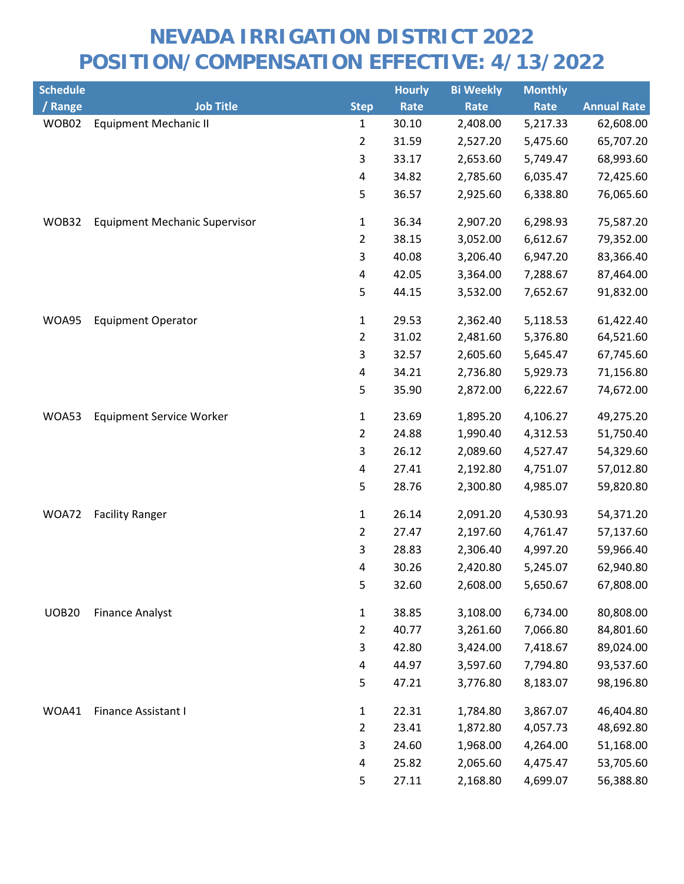| <b>Schedule</b> |                                      |                         | <b>Hourly</b> | <b>Bi Weekly</b> | <b>Monthly</b> |                    |
|-----------------|--------------------------------------|-------------------------|---------------|------------------|----------------|--------------------|
| / Range         | <b>Job Title</b>                     | <b>Step</b>             | Rate          | Rate             | Rate           | <b>Annual Rate</b> |
| WOB02           | <b>Equipment Mechanic II</b>         | $\mathbf{1}$            | 30.10         | 2,408.00         | 5,217.33       | 62,608.00          |
|                 |                                      | $\overline{2}$          | 31.59         | 2,527.20         | 5,475.60       | 65,707.20          |
|                 |                                      | 3                       | 33.17         | 2,653.60         | 5,749.47       | 68,993.60          |
|                 |                                      | $\pmb{4}$               | 34.82         | 2,785.60         | 6,035.47       | 72,425.60          |
|                 |                                      | 5                       | 36.57         | 2,925.60         | 6,338.80       | 76,065.60          |
| WOB32           | <b>Equipment Mechanic Supervisor</b> | $\mathbf{1}$            | 36.34         | 2,907.20         | 6,298.93       | 75,587.20          |
|                 |                                      | $\overline{2}$          | 38.15         | 3,052.00         | 6,612.67       | 79,352.00          |
|                 |                                      | 3                       | 40.08         | 3,206.40         | 6,947.20       | 83,366.40          |
|                 |                                      | 4                       | 42.05         | 3,364.00         | 7,288.67       | 87,464.00          |
|                 |                                      | 5                       | 44.15         | 3,532.00         | 7,652.67       | 91,832.00          |
| WOA95           | <b>Equipment Operator</b>            | $\mathbf{1}$            | 29.53         | 2,362.40         | 5,118.53       | 61,422.40          |
|                 |                                      | $\overline{2}$          | 31.02         | 2,481.60         | 5,376.80       | 64,521.60          |
|                 |                                      | 3                       | 32.57         | 2,605.60         | 5,645.47       | 67,745.60          |
|                 |                                      | 4                       | 34.21         | 2,736.80         | 5,929.73       | 71,156.80          |
|                 |                                      | 5                       | 35.90         | 2,872.00         | 6,222.67       | 74,672.00          |
| WOA53           | <b>Equipment Service Worker</b>      | $\mathbf{1}$            | 23.69         | 1,895.20         | 4,106.27       | 49,275.20          |
|                 |                                      | $\overline{2}$          | 24.88         | 1,990.40         | 4,312.53       | 51,750.40          |
|                 |                                      | 3                       | 26.12         | 2,089.60         | 4,527.47       | 54,329.60          |
|                 |                                      | 4                       | 27.41         | 2,192.80         | 4,751.07       | 57,012.80          |
|                 |                                      | 5                       | 28.76         | 2,300.80         | 4,985.07       | 59,820.80          |
| WOA72           | <b>Facility Ranger</b>               | $\mathbf{1}$            | 26.14         | 2,091.20         | 4,530.93       | 54,371.20          |
|                 |                                      | $\overline{2}$          | 27.47         | 2,197.60         | 4,761.47       | 57,137.60          |
|                 |                                      | 3                       | 28.83         | 2,306.40         | 4,997.20       | 59,966.40          |
|                 |                                      | 4                       | 30.26         | 2,420.80         | 5,245.07       | 62,940.80          |
|                 |                                      | 5                       | 32.60         | 2,608.00         | 5,650.67       | 67,808.00          |
| <b>UOB20</b>    | <b>Finance Analyst</b>               | $\mathbf{1}$            | 38.85         | 3,108.00         | 6,734.00       | 80,808.00          |
|                 |                                      | $\overline{2}$          | 40.77         | 3,261.60         | 7,066.80       | 84,801.60          |
|                 |                                      | 3                       | 42.80         | 3,424.00         | 7,418.67       | 89,024.00          |
|                 |                                      | $\overline{\mathbf{4}}$ | 44.97         | 3,597.60         | 7,794.80       | 93,537.60          |
|                 |                                      | 5                       | 47.21         | 3,776.80         | 8,183.07       | 98,196.80          |
| WOA41           | Finance Assistant I                  | $\mathbf{1}$            | 22.31         | 1,784.80         | 3,867.07       | 46,404.80          |
|                 |                                      | $\overline{2}$          | 23.41         | 1,872.80         | 4,057.73       | 48,692.80          |
|                 |                                      | 3                       | 24.60         | 1,968.00         | 4,264.00       | 51,168.00          |
|                 |                                      | 4                       | 25.82         | 2,065.60         | 4,475.47       | 53,705.60          |
|                 |                                      | 5                       | 27.11         | 2,168.80         | 4,699.07       | 56,388.80          |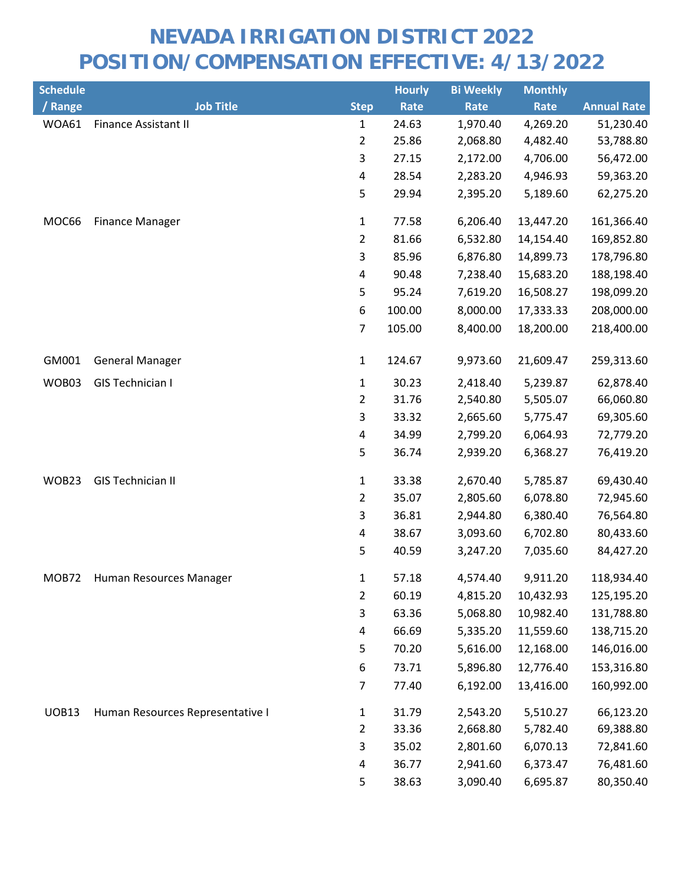| <b>Schedule</b> |                                  |                         | <b>Hourly</b> | <b>Bi Weekly</b> | <b>Monthly</b> |                    |
|-----------------|----------------------------------|-------------------------|---------------|------------------|----------------|--------------------|
| / Range         | <b>Job Title</b>                 | <b>Step</b>             | Rate          | Rate             | Rate           | <b>Annual Rate</b> |
| WOA61           | <b>Finance Assistant II</b>      | $\mathbf{1}$            | 24.63         | 1,970.40         | 4,269.20       | 51,230.40          |
|                 |                                  | $\overline{2}$          | 25.86         | 2,068.80         | 4,482.40       | 53,788.80          |
|                 |                                  | 3                       | 27.15         | 2,172.00         | 4,706.00       | 56,472.00          |
|                 |                                  | $\overline{\mathbf{4}}$ | 28.54         | 2,283.20         | 4,946.93       | 59,363.20          |
|                 |                                  | 5                       | 29.94         | 2,395.20         | 5,189.60       | 62,275.20          |
| MOC66           | <b>Finance Manager</b>           | $\mathbf{1}$            | 77.58         | 6,206.40         | 13,447.20      | 161,366.40         |
|                 |                                  | $\overline{2}$          | 81.66         | 6,532.80         | 14,154.40      | 169,852.80         |
|                 |                                  | $\mathsf{3}$            | 85.96         | 6,876.80         | 14,899.73      | 178,796.80         |
|                 |                                  | $\overline{\mathbf{4}}$ | 90.48         | 7,238.40         | 15,683.20      | 188,198.40         |
|                 |                                  | 5                       | 95.24         | 7,619.20         | 16,508.27      | 198,099.20         |
|                 |                                  | 6                       | 100.00        | 8,000.00         | 17,333.33      | 208,000.00         |
|                 |                                  | 7                       | 105.00        | 8,400.00         | 18,200.00      | 218,400.00         |
| GM001           | <b>General Manager</b>           | $\mathbf{1}$            | 124.67        | 9,973.60         | 21,609.47      | 259,313.60         |
| WOB03           | GIS Technician I                 | 1                       | 30.23         | 2,418.40         | 5,239.87       | 62,878.40          |
|                 |                                  | $\overline{2}$          | 31.76         | 2,540.80         | 5,505.07       | 66,060.80          |
|                 |                                  | $\mathsf{3}$            | 33.32         | 2,665.60         | 5,775.47       | 69,305.60          |
|                 |                                  | 4                       | 34.99         | 2,799.20         | 6,064.93       | 72,779.20          |
|                 |                                  | 5                       | 36.74         | 2,939.20         | 6,368.27       | 76,419.20          |
| WOB23           | <b>GIS Technician II</b>         | $\mathbf{1}$            | 33.38         | 2,670.40         | 5,785.87       | 69,430.40          |
|                 |                                  | $\overline{2}$          | 35.07         | 2,805.60         | 6,078.80       | 72,945.60          |
|                 |                                  | 3                       | 36.81         | 2,944.80         | 6,380.40       | 76,564.80          |
|                 |                                  | $\overline{\mathbf{4}}$ | 38.67         | 3,093.60         | 6,702.80       | 80,433.60          |
|                 |                                  | 5                       | 40.59         | 3,247.20         | 7,035.60       | 84,427.20          |
| MOB72           | Human Resources Manager          | 1                       | 57.18         | 4,574.40         | 9,911.20       | 118,934.40         |
|                 |                                  | $\overline{2}$          | 60.19         | 4,815.20         | 10,432.93      | 125,195.20         |
|                 |                                  | 3                       | 63.36         | 5,068.80         | 10,982.40      | 131,788.80         |
|                 |                                  | 4                       | 66.69         | 5,335.20         | 11,559.60      | 138,715.20         |
|                 |                                  | 5                       | 70.20         | 5,616.00         | 12,168.00      | 146,016.00         |
|                 |                                  | 6                       | 73.71         | 5,896.80         | 12,776.40      | 153,316.80         |
|                 |                                  | 7                       | 77.40         | 6,192.00         | 13,416.00      | 160,992.00         |
| <b>UOB13</b>    | Human Resources Representative I | 1                       | 31.79         | 2,543.20         | 5,510.27       | 66,123.20          |
|                 |                                  | $\overline{2}$          | 33.36         | 2,668.80         | 5,782.40       | 69,388.80          |
|                 |                                  | 3                       | 35.02         | 2,801.60         | 6,070.13       | 72,841.60          |
|                 |                                  | 4                       | 36.77         | 2,941.60         | 6,373.47       | 76,481.60          |
|                 |                                  | 5                       | 38.63         | 3,090.40         | 6,695.87       | 80,350.40          |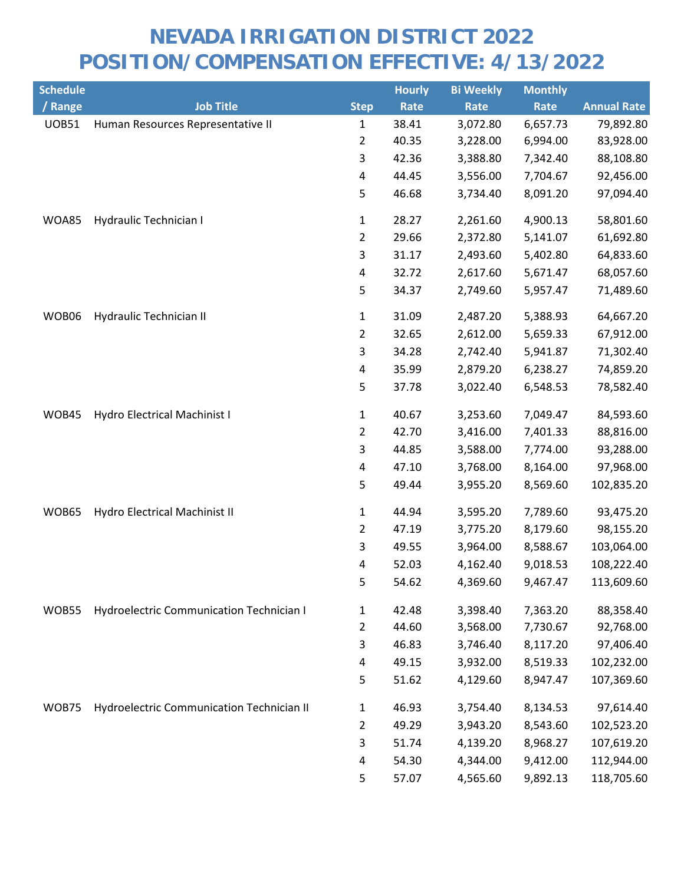| <b>Schedule</b> |                                                 |                         | <b>Hourly</b> | <b>Bi Weekly</b> | <b>Monthly</b> |                    |
|-----------------|-------------------------------------------------|-------------------------|---------------|------------------|----------------|--------------------|
| / Range         | <b>Job Title</b>                                | <b>Step</b>             | Rate          | Rate             | Rate           | <b>Annual Rate</b> |
| <b>UOB51</b>    | Human Resources Representative II               | $\mathbf{1}$            | 38.41         | 3,072.80         | 6,657.73       | 79,892.80          |
|                 |                                                 | $\overline{2}$          | 40.35         | 3,228.00         | 6,994.00       | 83,928.00          |
|                 |                                                 | 3                       | 42.36         | 3,388.80         | 7,342.40       | 88,108.80          |
|                 |                                                 | $\pmb{4}$               | 44.45         | 3,556.00         | 7,704.67       | 92,456.00          |
|                 |                                                 | 5                       | 46.68         | 3,734.40         | 8,091.20       | 97,094.40          |
| WOA85           | Hydraulic Technician I                          | $\mathbf 1$             | 28.27         | 2,261.60         | 4,900.13       | 58,801.60          |
|                 |                                                 | $\overline{2}$          | 29.66         | 2,372.80         | 5,141.07       | 61,692.80          |
|                 |                                                 | 3                       | 31.17         | 2,493.60         | 5,402.80       | 64,833.60          |
|                 |                                                 | $\overline{\mathbf{4}}$ | 32.72         | 2,617.60         | 5,671.47       | 68,057.60          |
|                 |                                                 | 5                       | 34.37         | 2,749.60         | 5,957.47       | 71,489.60          |
| WOB06           | Hydraulic Technician II                         | $\mathbf{1}$            | 31.09         | 2,487.20         | 5,388.93       | 64,667.20          |
|                 |                                                 | $\overline{2}$          | 32.65         | 2,612.00         | 5,659.33       | 67,912.00          |
|                 |                                                 | 3                       | 34.28         | 2,742.40         | 5,941.87       | 71,302.40          |
|                 |                                                 | 4                       | 35.99         | 2,879.20         | 6,238.27       | 74,859.20          |
|                 |                                                 | 5                       | 37.78         | 3,022.40         | 6,548.53       | 78,582.40          |
| WOB45           | Hydro Electrical Machinist I                    | $\mathbf 1$             | 40.67         | 3,253.60         | 7,049.47       | 84,593.60          |
|                 |                                                 | $\overline{2}$          | 42.70         | 3,416.00         | 7,401.33       | 88,816.00          |
|                 |                                                 | 3                       | 44.85         | 3,588.00         | 7,774.00       | 93,288.00          |
|                 |                                                 | 4                       | 47.10         | 3,768.00         | 8,164.00       | 97,968.00          |
|                 |                                                 | 5                       | 49.44         | 3,955.20         | 8,569.60       | 102,835.20         |
| WOB65           | Hydro Electrical Machinist II                   | $\mathbf{1}$            | 44.94         | 3,595.20         | 7,789.60       | 93,475.20          |
|                 |                                                 | $\overline{2}$          | 47.19         | 3,775.20         | 8,179.60       | 98,155.20          |
|                 |                                                 | 3                       | 49.55         | 3,964.00         | 8,588.67       | 103,064.00         |
|                 |                                                 | $\overline{\mathbf{4}}$ | 52.03         | 4,162.40         | 9,018.53       | 108,222.40         |
|                 |                                                 | 5                       | 54.62         | 4,369.60         | 9,467.47       | 113,609.60         |
| <b>WOB55</b>    | <b>Hydroelectric Communication Technician I</b> | 1                       | 42.48         | 3,398.40         | 7,363.20       | 88,358.40          |
|                 |                                                 | $\overline{2}$          | 44.60         | 3,568.00         | 7,730.67       | 92,768.00          |
|                 |                                                 | 3                       | 46.83         | 3,746.40         | 8,117.20       | 97,406.40          |
|                 |                                                 | 4                       | 49.15         | 3,932.00         | 8,519.33       | 102,232.00         |
|                 |                                                 | 5                       | 51.62         | 4,129.60         | 8,947.47       | 107,369.60         |
| WOB75           | Hydroelectric Communication Technician II       | $\mathbf{1}$            | 46.93         | 3,754.40         | 8,134.53       | 97,614.40          |
|                 |                                                 | $\overline{2}$          | 49.29         | 3,943.20         | 8,543.60       | 102,523.20         |
|                 |                                                 | 3                       | 51.74         | 4,139.20         | 8,968.27       | 107,619.20         |
|                 |                                                 | 4                       | 54.30         | 4,344.00         | 9,412.00       | 112,944.00         |
|                 |                                                 | 5                       | 57.07         | 4,565.60         | 9,892.13       | 118,705.60         |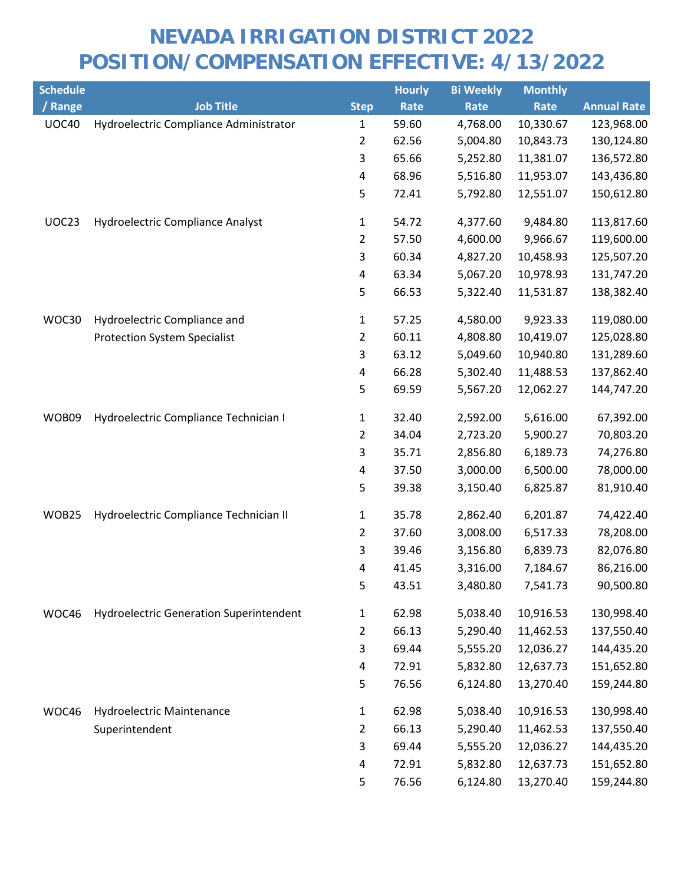| <b>Schedule</b> |                                                |                | <b>Hourly</b> | <b>Bi Weekly</b> | <b>Monthly</b> |                    |
|-----------------|------------------------------------------------|----------------|---------------|------------------|----------------|--------------------|
| / Range         | <b>Job Title</b>                               | <b>Step</b>    | Rate          | Rate             | Rate           | <b>Annual Rate</b> |
| <b>UOC40</b>    | Hydroelectric Compliance Administrator         | 1              | 59.60         | 4,768.00         | 10,330.67      | 123,968.00         |
|                 |                                                | $\overline{2}$ | 62.56         | 5,004.80         | 10,843.73      | 130,124.80         |
|                 |                                                | 3              | 65.66         | 5,252.80         | 11,381.07      | 136,572.80         |
|                 |                                                | 4              | 68.96         | 5,516.80         | 11,953.07      | 143,436.80         |
|                 |                                                | 5              | 72.41         | 5,792.80         | 12,551.07      | 150,612.80         |
| UOC23           | Hydroelectric Compliance Analyst               | $\mathbf{1}$   | 54.72         | 4,377.60         | 9,484.80       | 113,817.60         |
|                 |                                                | $\overline{2}$ | 57.50         | 4,600.00         | 9,966.67       | 119,600.00         |
|                 |                                                | 3              | 60.34         | 4,827.20         | 10,458.93      | 125,507.20         |
|                 |                                                | 4              | 63.34         | 5,067.20         | 10,978.93      | 131,747.20         |
|                 |                                                | 5              | 66.53         | 5,322.40         | 11,531.87      | 138,382.40         |
| WOC30           | Hydroelectric Compliance and                   | 1              | 57.25         | 4,580.00         | 9,923.33       | 119,080.00         |
|                 | <b>Protection System Specialist</b>            | 2              | 60.11         | 4,808.80         | 10,419.07      | 125,028.80         |
|                 |                                                | 3              | 63.12         | 5,049.60         | 10,940.80      | 131,289.60         |
|                 |                                                | 4              | 66.28         | 5,302.40         | 11,488.53      | 137,862.40         |
|                 |                                                | 5              | 69.59         | 5,567.20         | 12,062.27      | 144,747.20         |
| WOB09           | Hydroelectric Compliance Technician I          | $\mathbf{1}$   | 32.40         | 2,592.00         | 5,616.00       | 67,392.00          |
|                 |                                                | 2              | 34.04         | 2,723.20         | 5,900.27       | 70,803.20          |
|                 |                                                | 3              | 35.71         | 2,856.80         | 6,189.73       | 74,276.80          |
|                 |                                                | $\pmb{4}$      | 37.50         | 3,000.00         | 6,500.00       | 78,000.00          |
|                 |                                                | 5              | 39.38         | 3,150.40         | 6,825.87       | 81,910.40          |
| WOB25           | Hydroelectric Compliance Technician II         | $\mathbf{1}$   | 35.78         | 2,862.40         | 6,201.87       | 74,422.40          |
|                 |                                                | 2              | 37.60         | 3,008.00         | 6,517.33       | 78,208.00          |
|                 |                                                | 3              | 39.46         | 3,156.80         | 6,839.73       | 82,076.80          |
|                 |                                                | 4              | 41.45         | 3,316.00         | 7,184.67       | 86,216.00          |
|                 |                                                | 5              | 43.51         | 3,480.80         | 7,541.73       | 90,500.80          |
| WOC46           | <b>Hydroelectric Generation Superintendent</b> | 1              | 62.98         | 5,038.40         | 10,916.53      | 130,998.40         |
|                 |                                                | 2              | 66.13         | 5,290.40         | 11,462.53      | 137,550.40         |
|                 |                                                | 3              | 69.44         | 5,555.20         | 12,036.27      | 144,435.20         |
|                 |                                                | 4              | 72.91         | 5,832.80         | 12,637.73      | 151,652.80         |
|                 |                                                | 5              | 76.56         | 6,124.80         | 13,270.40      | 159,244.80         |
| WOC46           | <b>Hydroelectric Maintenance</b>               | $\mathbf{1}$   | 62.98         | 5,038.40         | 10,916.53      | 130,998.40         |
|                 | Superintendent                                 | $\overline{2}$ | 66.13         | 5,290.40         | 11,462.53      | 137,550.40         |
|                 |                                                | 3              | 69.44         | 5,555.20         | 12,036.27      | 144,435.20         |
|                 |                                                | 4              | 72.91         | 5,832.80         | 12,637.73      | 151,652.80         |
|                 |                                                | 5              | 76.56         | 6,124.80         | 13,270.40      | 159,244.80         |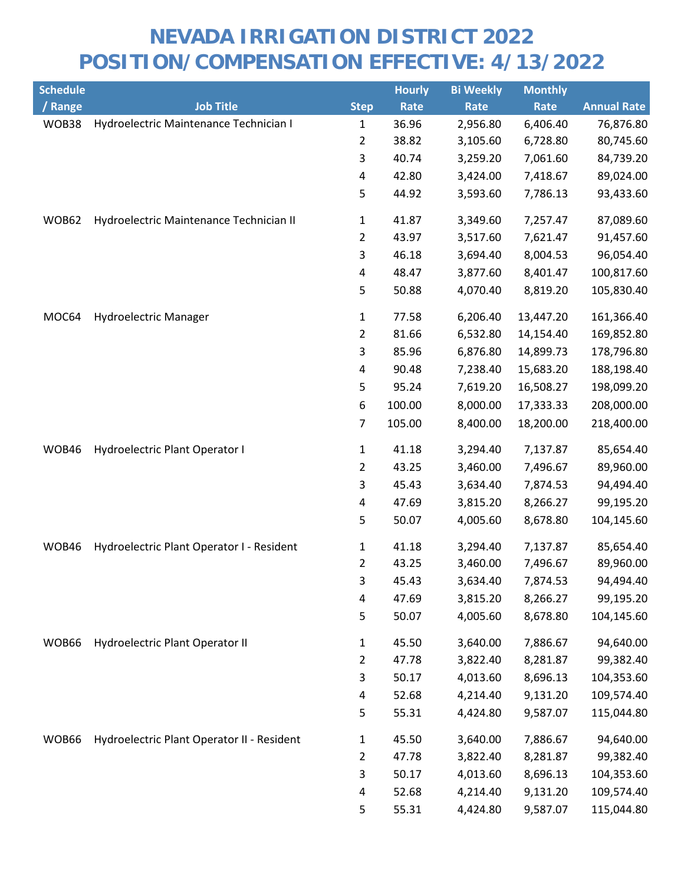| <b>Schedule</b> |                                            |                | <b>Hourly</b> | <b>Bi Weekly</b> | <b>Monthly</b> |                    |
|-----------------|--------------------------------------------|----------------|---------------|------------------|----------------|--------------------|
| / Range         | <b>Job Title</b>                           | <b>Step</b>    | Rate          | Rate             | Rate           | <b>Annual Rate</b> |
| WOB38           | Hydroelectric Maintenance Technician I     | 1              | 36.96         | 2,956.80         | 6,406.40       | 76,876.80          |
|                 |                                            | 2              | 38.82         | 3,105.60         | 6,728.80       | 80,745.60          |
|                 |                                            | 3              | 40.74         | 3,259.20         | 7,061.60       | 84,739.20          |
|                 |                                            | 4              | 42.80         | 3,424.00         | 7,418.67       | 89,024.00          |
|                 |                                            | 5              | 44.92         | 3,593.60         | 7,786.13       | 93,433.60          |
| WOB62           | Hydroelectric Maintenance Technician II    | $\mathbf{1}$   | 41.87         | 3,349.60         | 7,257.47       | 87,089.60          |
|                 |                                            | 2              | 43.97         | 3,517.60         | 7,621.47       | 91,457.60          |
|                 |                                            | 3              | 46.18         | 3,694.40         | 8,004.53       | 96,054.40          |
|                 |                                            | 4              | 48.47         | 3,877.60         | 8,401.47       | 100,817.60         |
|                 |                                            | 5              | 50.88         | 4,070.40         | 8,819.20       | 105,830.40         |
| MOC64           | Hydroelectric Manager                      | 1              | 77.58         | 6,206.40         | 13,447.20      | 161,366.40         |
|                 |                                            | $\overline{2}$ | 81.66         | 6,532.80         | 14,154.40      | 169,852.80         |
|                 |                                            | 3              | 85.96         | 6,876.80         | 14,899.73      | 178,796.80         |
|                 |                                            | 4              | 90.48         | 7,238.40         | 15,683.20      | 188,198.40         |
|                 |                                            | 5              | 95.24         | 7,619.20         | 16,508.27      | 198,099.20         |
|                 |                                            | 6              | 100.00        | 8,000.00         | 17,333.33      | 208,000.00         |
|                 |                                            | 7              | 105.00        | 8,400.00         | 18,200.00      | 218,400.00         |
| WOB46           | Hydroelectric Plant Operator I             | $\mathbf{1}$   | 41.18         | 3,294.40         | 7,137.87       | 85,654.40          |
|                 |                                            | 2              | 43.25         | 3,460.00         | 7,496.67       | 89,960.00          |
|                 |                                            | 3              | 45.43         | 3,634.40         | 7,874.53       | 94,494.40          |
|                 |                                            | 4              | 47.69         | 3,815.20         | 8,266.27       | 99,195.20          |
|                 |                                            | 5              | 50.07         | 4,005.60         | 8,678.80       | 104,145.60         |
| WOB46           | Hydroelectric Plant Operator I - Resident  | $\mathbf{1}$   | 41.18         | 3,294.40         | 7,137.87       | 85,654.40          |
|                 |                                            | $\overline{2}$ | 43.25         | 3,460.00         | 7,496.67       | 89,960.00          |
|                 |                                            | 3              | 45.43         | 3,634.40         | 7,874.53       | 94,494.40          |
|                 |                                            | 4              | 47.69         | 3,815.20         | 8,266.27       | 99,195.20          |
|                 |                                            | 5              | 50.07         | 4,005.60         | 8,678.80       | 104,145.60         |
| WOB66           | Hydroelectric Plant Operator II            | $\mathbf{1}$   | 45.50         | 3,640.00         | 7,886.67       | 94,640.00          |
|                 |                                            | $\overline{a}$ | 47.78         | 3,822.40         | 8,281.87       | 99,382.40          |
|                 |                                            | 3              | 50.17         | 4,013.60         | 8,696.13       | 104,353.60         |
|                 |                                            | 4              | 52.68         | 4,214.40         | 9,131.20       | 109,574.40         |
|                 |                                            | 5              | 55.31         | 4,424.80         | 9,587.07       | 115,044.80         |
| WOB66           | Hydroelectric Plant Operator II - Resident | $\mathbf{1}$   | 45.50         | 3,640.00         | 7,886.67       | 94,640.00          |
|                 |                                            | $\overline{a}$ | 47.78         | 3,822.40         | 8,281.87       | 99,382.40          |
|                 |                                            | 3              | 50.17         | 4,013.60         | 8,696.13       | 104,353.60         |
|                 |                                            | 4              | 52.68         | 4,214.40         | 9,131.20       | 109,574.40         |
|                 |                                            | 5              | 55.31         | 4,424.80         | 9,587.07       | 115,044.80         |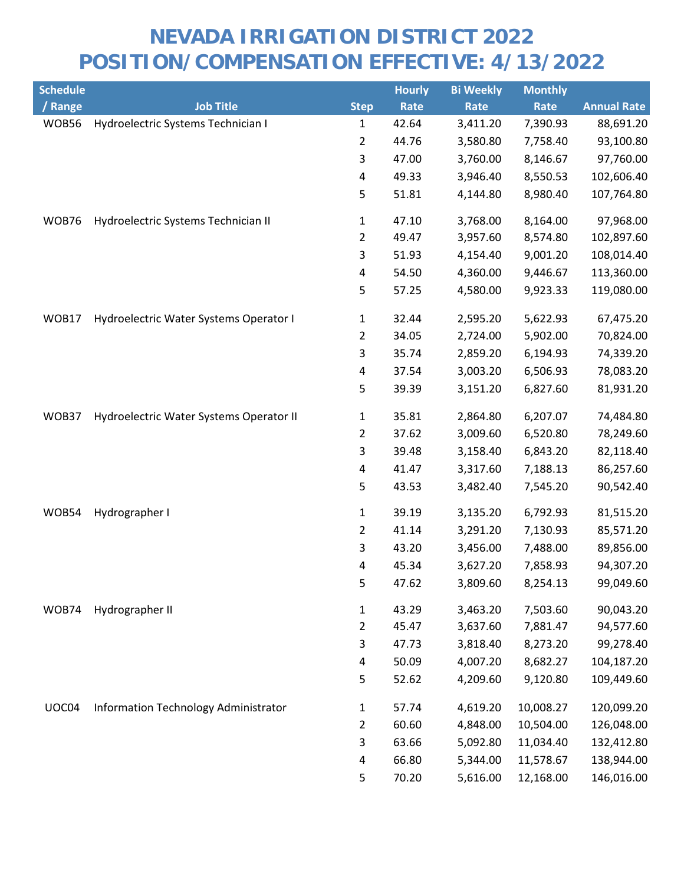| <b>Schedule</b> |                                         |                | <b>Hourly</b> | <b>Bi Weekly</b> | <b>Monthly</b> |                    |
|-----------------|-----------------------------------------|----------------|---------------|------------------|----------------|--------------------|
| / Range         | <b>Job Title</b>                        | <b>Step</b>    | Rate          | Rate             | Rate           | <b>Annual Rate</b> |
| WOB56           | Hydroelectric Systems Technician I      | 1              | 42.64         | 3,411.20         | 7,390.93       | 88,691.20          |
|                 |                                         | 2              | 44.76         | 3,580.80         | 7,758.40       | 93,100.80          |
|                 |                                         | 3              | 47.00         | 3,760.00         | 8,146.67       | 97,760.00          |
|                 |                                         | 4              | 49.33         | 3,946.40         | 8,550.53       | 102,606.40         |
|                 |                                         | 5              | 51.81         | 4,144.80         | 8,980.40       | 107,764.80         |
| WOB76           | Hydroelectric Systems Technician II     | $\mathbf{1}$   | 47.10         | 3,768.00         | 8,164.00       | 97,968.00          |
|                 |                                         | 2              | 49.47         | 3,957.60         | 8,574.80       | 102,897.60         |
|                 |                                         | 3              | 51.93         | 4,154.40         | 9,001.20       | 108,014.40         |
|                 |                                         | 4              | 54.50         | 4,360.00         | 9,446.67       | 113,360.00         |
|                 |                                         | 5              | 57.25         | 4,580.00         | 9,923.33       | 119,080.00         |
| WOB17           | Hydroelectric Water Systems Operator I  | 1              | 32.44         | 2,595.20         | 5,622.93       | 67,475.20          |
|                 |                                         | $\overline{2}$ | 34.05         | 2,724.00         | 5,902.00       | 70,824.00          |
|                 |                                         | 3              | 35.74         | 2,859.20         | 6,194.93       | 74,339.20          |
|                 |                                         | 4              | 37.54         | 3,003.20         | 6,506.93       | 78,083.20          |
|                 |                                         | 5              | 39.39         | 3,151.20         | 6,827.60       | 81,931.20          |
| WOB37           | Hydroelectric Water Systems Operator II | $\mathbf{1}$   | 35.81         | 2,864.80         | 6,207.07       | 74,484.80          |
|                 |                                         | 2              | 37.62         | 3,009.60         | 6,520.80       | 78,249.60          |
|                 |                                         | 3              | 39.48         | 3,158.40         | 6,843.20       | 82,118.40          |
|                 |                                         | 4              | 41.47         | 3,317.60         | 7,188.13       | 86,257.60          |
|                 |                                         | 5              | 43.53         | 3,482.40         | 7,545.20       | 90,542.40          |
| WOB54           | Hydrographer I                          | 1              | 39.19         | 3,135.20         | 6,792.93       | 81,515.20          |
|                 |                                         | 2              | 41.14         | 3,291.20         | 7,130.93       | 85,571.20          |
|                 |                                         | 3              | 43.20         | 3,456.00         | 7,488.00       | 89,856.00          |
|                 |                                         | 4              | 45.34         | 3,627.20         | 7,858.93       | 94,307.20          |
|                 |                                         | 5              | 47.62         | 3,809.60         | 8,254.13       | 99,049.60          |
| WOB74           | Hydrographer II                         | $\mathbf{1}$   | 43.29         | 3,463.20         | 7,503.60       | 90,043.20          |
|                 |                                         | 2              | 45.47         | 3,637.60         | 7,881.47       | 94,577.60          |
|                 |                                         | 3              | 47.73         | 3,818.40         | 8,273.20       | 99,278.40          |
|                 |                                         | 4              | 50.09         | 4,007.20         | 8,682.27       | 104,187.20         |
|                 |                                         | 5              | 52.62         | 4,209.60         | 9,120.80       | 109,449.60         |
| UOC04           | Information Technology Administrator    | $\mathbf{1}$   | 57.74         | 4,619.20         | 10,008.27      | 120,099.20         |
|                 |                                         | 2              | 60.60         | 4,848.00         | 10,504.00      | 126,048.00         |
|                 |                                         | 3              | 63.66         | 5,092.80         | 11,034.40      | 132,412.80         |
|                 |                                         | 4              | 66.80         | 5,344.00         | 11,578.67      | 138,944.00         |
|                 |                                         | 5              | 70.20         | 5,616.00         | 12,168.00      | 146,016.00         |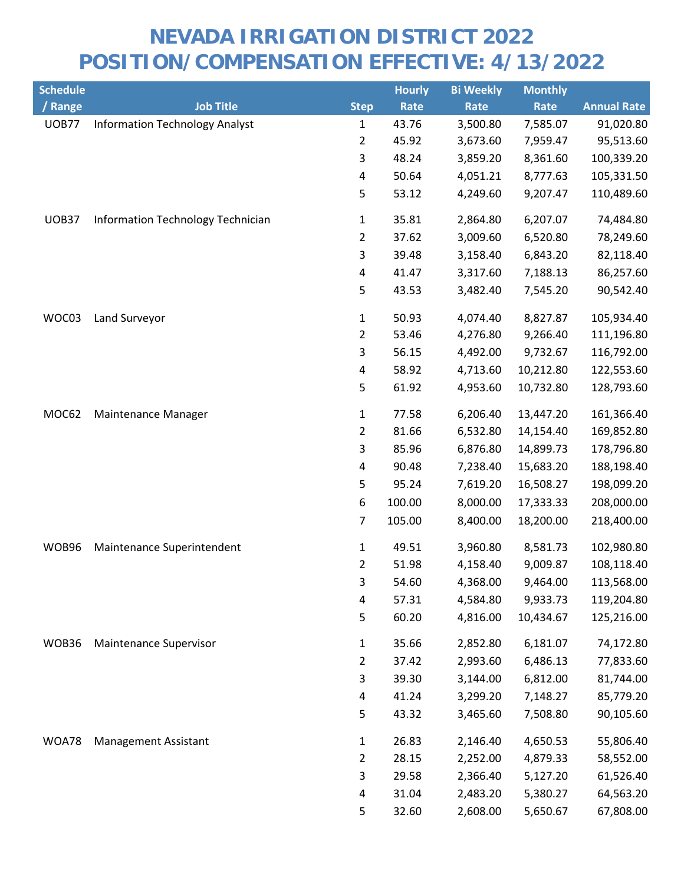| <b>Schedule</b> |                                       |                | <b>Hourly</b> | <b>Bi Weekly</b> | <b>Monthly</b> |                    |
|-----------------|---------------------------------------|----------------|---------------|------------------|----------------|--------------------|
| / Range         | <b>Job Title</b>                      | <b>Step</b>    | Rate          | Rate             | Rate           | <b>Annual Rate</b> |
| <b>UOB77</b>    | <b>Information Technology Analyst</b> | 1              | 43.76         | 3,500.80         | 7,585.07       | 91,020.80          |
|                 |                                       | $\overline{2}$ | 45.92         | 3,673.60         | 7,959.47       | 95,513.60          |
|                 |                                       | 3              | 48.24         | 3,859.20         | 8,361.60       | 100,339.20         |
|                 |                                       | 4              | 50.64         | 4,051.21         | 8,777.63       | 105,331.50         |
|                 |                                       | 5              | 53.12         | 4,249.60         | 9,207.47       | 110,489.60         |
| UOB37           | Information Technology Technician     | $\mathbf{1}$   | 35.81         | 2,864.80         | 6,207.07       | 74,484.80          |
|                 |                                       | $\overline{2}$ | 37.62         | 3,009.60         | 6,520.80       | 78,249.60          |
|                 |                                       | 3              | 39.48         | 3,158.40         | 6,843.20       | 82,118.40          |
|                 |                                       | 4              | 41.47         | 3,317.60         | 7,188.13       | 86,257.60          |
|                 |                                       | 5              | 43.53         | 3,482.40         | 7,545.20       | 90,542.40          |
| WOC03           | Land Surveyor                         | 1              | 50.93         | 4,074.40         | 8,827.87       | 105,934.40         |
|                 |                                       | $\overline{2}$ | 53.46         | 4,276.80         | 9,266.40       | 111,196.80         |
|                 |                                       | 3              | 56.15         | 4,492.00         | 9,732.67       | 116,792.00         |
|                 |                                       | 4              | 58.92         | 4,713.60         | 10,212.80      | 122,553.60         |
|                 |                                       | 5              | 61.92         | 4,953.60         | 10,732.80      | 128,793.60         |
| MOC62           | Maintenance Manager                   | $\mathbf{1}$   | 77.58         | 6,206.40         | 13,447.20      | 161,366.40         |
|                 |                                       | $\overline{2}$ | 81.66         | 6,532.80         | 14,154.40      | 169,852.80         |
|                 |                                       | 3              | 85.96         | 6,876.80         | 14,899.73      | 178,796.80         |
|                 |                                       | 4              | 90.48         | 7,238.40         | 15,683.20      | 188,198.40         |
|                 |                                       | 5              | 95.24         | 7,619.20         | 16,508.27      | 198,099.20         |
|                 |                                       | 6              | 100.00        | 8,000.00         | 17,333.33      | 208,000.00         |
|                 |                                       | 7              | 105.00        | 8,400.00         | 18,200.00      | 218,400.00         |
| WOB96           | Maintenance Superintendent            | $\mathbf{1}$   | 49.51         | 3,960.80         | 8,581.73       | 102,980.80         |
|                 |                                       | $\overline{2}$ | 51.98         | 4,158.40         | 9,009.87       | 108,118.40         |
|                 |                                       | 3              | 54.60         | 4,368.00         | 9,464.00       | 113,568.00         |
|                 |                                       | 4              | 57.31         | 4,584.80         | 9,933.73       | 119,204.80         |
|                 |                                       | 5              | 60.20         | 4,816.00         | 10,434.67      | 125,216.00         |
| WOB36           | Maintenance Supervisor                | $\mathbf{1}$   | 35.66         | 2,852.80         | 6,181.07       | 74,172.80          |
|                 |                                       | $\overline{2}$ | 37.42         | 2,993.60         | 6,486.13       | 77,833.60          |
|                 |                                       | 3              | 39.30         | 3,144.00         | 6,812.00       | 81,744.00          |
|                 |                                       | 4              | 41.24         | 3,299.20         | 7,148.27       | 85,779.20          |
|                 |                                       | 5              | 43.32         | 3,465.60         | 7,508.80       | 90,105.60          |
| WOA78           | <b>Management Assistant</b>           | $\mathbf{1}$   | 26.83         | 2,146.40         | 4,650.53       | 55,806.40          |
|                 |                                       | 2              | 28.15         | 2,252.00         | 4,879.33       | 58,552.00          |
|                 |                                       | 3              | 29.58         | 2,366.40         | 5,127.20       | 61,526.40          |
|                 |                                       | 4              | 31.04         | 2,483.20         | 5,380.27       | 64,563.20          |
|                 |                                       | 5              | 32.60         | 2,608.00         | 5,650.67       | 67,808.00          |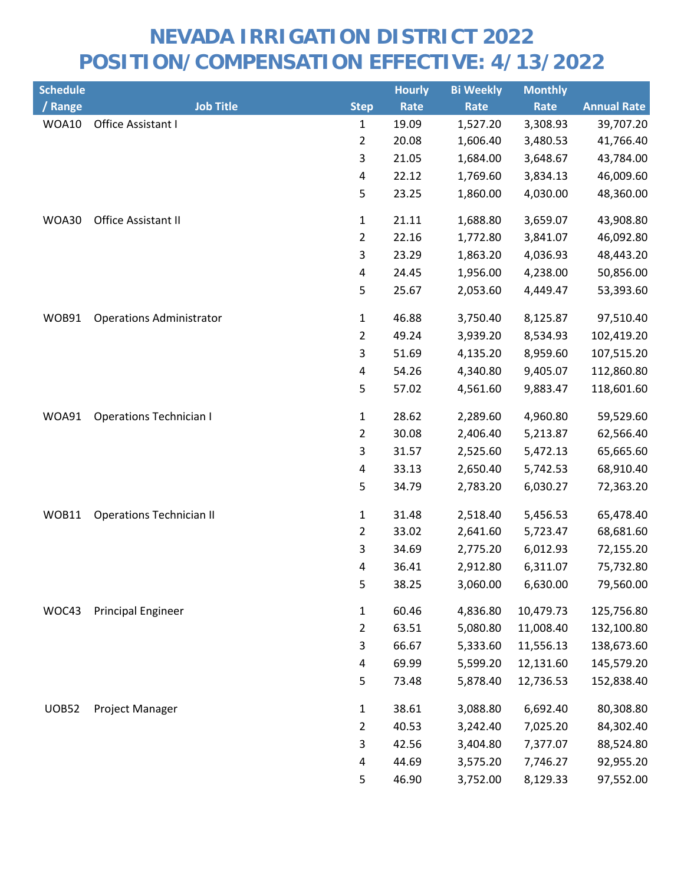| <b>Schedule</b> |                                 |                         | <b>Hourly</b> | <b>Bi Weekly</b> | <b>Monthly</b> |                    |
|-----------------|---------------------------------|-------------------------|---------------|------------------|----------------|--------------------|
| / Range         | <b>Job Title</b>                | <b>Step</b>             | Rate          | Rate             | <b>Rate</b>    | <b>Annual Rate</b> |
| WOA10           | Office Assistant I              | $\mathbf{1}$            | 19.09         | 1,527.20         | 3,308.93       | 39,707.20          |
|                 |                                 | $\overline{2}$          | 20.08         | 1,606.40         | 3,480.53       | 41,766.40          |
|                 |                                 | 3                       | 21.05         | 1,684.00         | 3,648.67       | 43,784.00          |
|                 |                                 | $\pmb{4}$               | 22.12         | 1,769.60         | 3,834.13       | 46,009.60          |
|                 |                                 | 5                       | 23.25         | 1,860.00         | 4,030.00       | 48,360.00          |
| WOA30           | Office Assistant II             | $\mathbf{1}$            | 21.11         | 1,688.80         | 3,659.07       | 43,908.80          |
|                 |                                 | $\overline{2}$          | 22.16         | 1,772.80         | 3,841.07       | 46,092.80          |
|                 |                                 | 3                       | 23.29         | 1,863.20         | 4,036.93       | 48,443.20          |
|                 |                                 | 4                       | 24.45         | 1,956.00         | 4,238.00       | 50,856.00          |
|                 |                                 | 5                       | 25.67         | 2,053.60         | 4,449.47       | 53,393.60          |
| WOB91           | <b>Operations Administrator</b> | $\mathbf{1}$            | 46.88         | 3,750.40         | 8,125.87       | 97,510.40          |
|                 |                                 | $\overline{2}$          | 49.24         | 3,939.20         | 8,534.93       | 102,419.20         |
|                 |                                 | 3                       | 51.69         | 4,135.20         | 8,959.60       | 107,515.20         |
|                 |                                 | 4                       | 54.26         | 4,340.80         | 9,405.07       | 112,860.80         |
|                 |                                 | 5                       | 57.02         | 4,561.60         | 9,883.47       | 118,601.60         |
| WOA91           | <b>Operations Technician I</b>  | $\mathbf{1}$            | 28.62         | 2,289.60         | 4,960.80       | 59,529.60          |
|                 |                                 | $\overline{2}$          | 30.08         | 2,406.40         | 5,213.87       | 62,566.40          |
|                 |                                 | 3                       | 31.57         | 2,525.60         | 5,472.13       | 65,665.60          |
|                 |                                 | $\overline{\mathbf{4}}$ | 33.13         | 2,650.40         | 5,742.53       | 68,910.40          |
|                 |                                 | 5                       | 34.79         | 2,783.20         | 6,030.27       | 72,363.20          |
| WOB11           | <b>Operations Technician II</b> | $\mathbf{1}$            | 31.48         | 2,518.40         | 5,456.53       | 65,478.40          |
|                 |                                 | $\overline{2}$          | 33.02         | 2,641.60         | 5,723.47       | 68,681.60          |
|                 |                                 | 3                       | 34.69         | 2,775.20         | 6,012.93       | 72,155.20          |
|                 |                                 | 4                       | 36.41         | 2,912.80         | 6,311.07       | 75,732.80          |
|                 |                                 | 5                       | 38.25         | 3,060.00         | 6,630.00       | 79,560.00          |
| WOC43           | <b>Principal Engineer</b>       | $\mathbf{1}$            | 60.46         | 4,836.80         | 10,479.73      | 125,756.80         |
|                 |                                 | $\overline{2}$          | 63.51         | 5,080.80         | 11,008.40      | 132,100.80         |
|                 |                                 | 3                       | 66.67         | 5,333.60         | 11,556.13      | 138,673.60         |
|                 |                                 | 4                       | 69.99         | 5,599.20         | 12,131.60      | 145,579.20         |
|                 |                                 | 5                       | 73.48         | 5,878.40         | 12,736.53      | 152,838.40         |
| <b>UOB52</b>    | Project Manager                 | $\mathbf{1}$            | 38.61         | 3,088.80         | 6,692.40       | 80,308.80          |
|                 |                                 | $\overline{2}$          | 40.53         | 3,242.40         | 7,025.20       | 84,302.40          |
|                 |                                 | 3                       | 42.56         | 3,404.80         | 7,377.07       | 88,524.80          |
|                 |                                 | 4                       | 44.69         | 3,575.20         | 7,746.27       | 92,955.20          |
|                 |                                 | 5                       | 46.90         | 3,752.00         | 8,129.33       | 97,552.00          |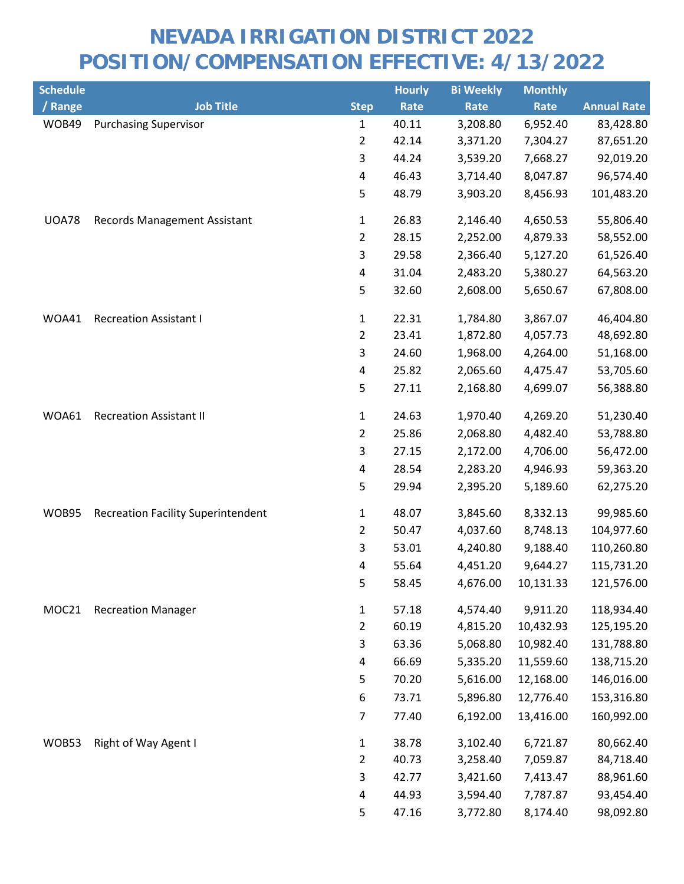| <b>Schedule</b> |                                           |                | <b>Hourly</b> | <b>Bi Weekly</b> | <b>Monthly</b> |                    |
|-----------------|-------------------------------------------|----------------|---------------|------------------|----------------|--------------------|
| / Range         | <b>Job Title</b>                          | <b>Step</b>    | Rate          | Rate             | Rate           | <b>Annual Rate</b> |
| WOB49           | <b>Purchasing Supervisor</b>              | 1              | 40.11         | 3,208.80         | 6,952.40       | 83,428.80          |
|                 |                                           | $\overline{2}$ | 42.14         | 3,371.20         | 7,304.27       | 87,651.20          |
|                 |                                           | 3              | 44.24         | 3,539.20         | 7,668.27       | 92,019.20          |
|                 |                                           | 4              | 46.43         | 3,714.40         | 8,047.87       | 96,574.40          |
|                 |                                           | 5              | 48.79         | 3,903.20         | 8,456.93       | 101,483.20         |
| <b>UOA78</b>    | <b>Records Management Assistant</b>       | $\mathbf{1}$   | 26.83         | 2,146.40         | 4,650.53       | 55,806.40          |
|                 |                                           | $\overline{2}$ | 28.15         | 2,252.00         | 4,879.33       | 58,552.00          |
|                 |                                           | $\overline{3}$ | 29.58         | 2,366.40         | 5,127.20       | 61,526.40          |
|                 |                                           | 4              | 31.04         | 2,483.20         | 5,380.27       | 64,563.20          |
|                 |                                           | 5              | 32.60         | 2,608.00         | 5,650.67       | 67,808.00          |
| WOA41           | <b>Recreation Assistant I</b>             | $\mathbf{1}$   | 22.31         | 1,784.80         | 3,867.07       | 46,404.80          |
|                 |                                           | $\overline{2}$ | 23.41         | 1,872.80         | 4,057.73       | 48,692.80          |
|                 |                                           | 3              | 24.60         | 1,968.00         | 4,264.00       | 51,168.00          |
|                 |                                           | 4              | 25.82         | 2,065.60         | 4,475.47       | 53,705.60          |
|                 |                                           | 5              | 27.11         | 2,168.80         | 4,699.07       | 56,388.80          |
| WOA61           | <b>Recreation Assistant II</b>            | $\mathbf{1}$   | 24.63         | 1,970.40         | 4,269.20       | 51,230.40          |
|                 |                                           | $\overline{2}$ | 25.86         | 2,068.80         | 4,482.40       | 53,788.80          |
|                 |                                           | 3              | 27.15         | 2,172.00         | 4,706.00       | 56,472.00          |
|                 |                                           | 4              | 28.54         | 2,283.20         | 4,946.93       | 59,363.20          |
|                 |                                           | 5              | 29.94         | 2,395.20         | 5,189.60       | 62,275.20          |
| WOB95           | <b>Recreation Facility Superintendent</b> | $\mathbf{1}$   | 48.07         | 3,845.60         | 8,332.13       | 99,985.60          |
|                 |                                           | $\overline{2}$ | 50.47         | 4,037.60         | 8,748.13       | 104,977.60         |
|                 |                                           | $\mathsf{3}$   | 53.01         | 4,240.80         | 9,188.40       | 110,260.80         |
|                 |                                           | 4              | 55.64         | 4,451.20         | 9,644.27       | 115,731.20         |
|                 |                                           | 5              | 58.45         | 4,676.00         | 10,131.33      | 121,576.00         |
| MOC21           | <b>Recreation Manager</b>                 | $\mathbf{1}$   | 57.18         | 4,574.40         | 9,911.20       | 118,934.40         |
|                 |                                           | $\overline{2}$ | 60.19         | 4,815.20         | 10,432.93      | 125,195.20         |
|                 |                                           | 3              | 63.36         | 5,068.80         | 10,982.40      | 131,788.80         |
|                 |                                           | 4              | 66.69         | 5,335.20         | 11,559.60      | 138,715.20         |
|                 |                                           | 5              | 70.20         | 5,616.00         | 12,168.00      | 146,016.00         |
|                 |                                           | 6              | 73.71         | 5,896.80         | 12,776.40      | 153,316.80         |
|                 |                                           | $\overline{7}$ | 77.40         | 6,192.00         | 13,416.00      | 160,992.00         |
| WOB53           | Right of Way Agent I                      | $\mathbf{1}$   | 38.78         | 3,102.40         | 6,721.87       | 80,662.40          |
|                 |                                           | $\overline{2}$ | 40.73         | 3,258.40         | 7,059.87       | 84,718.40          |
|                 |                                           | 3              | 42.77         | 3,421.60         | 7,413.47       | 88,961.60          |
|                 |                                           | 4              | 44.93         | 3,594.40         | 7,787.87       | 93,454.40          |
|                 |                                           | 5              | 47.16         | 3,772.80         | 8,174.40       | 98,092.80          |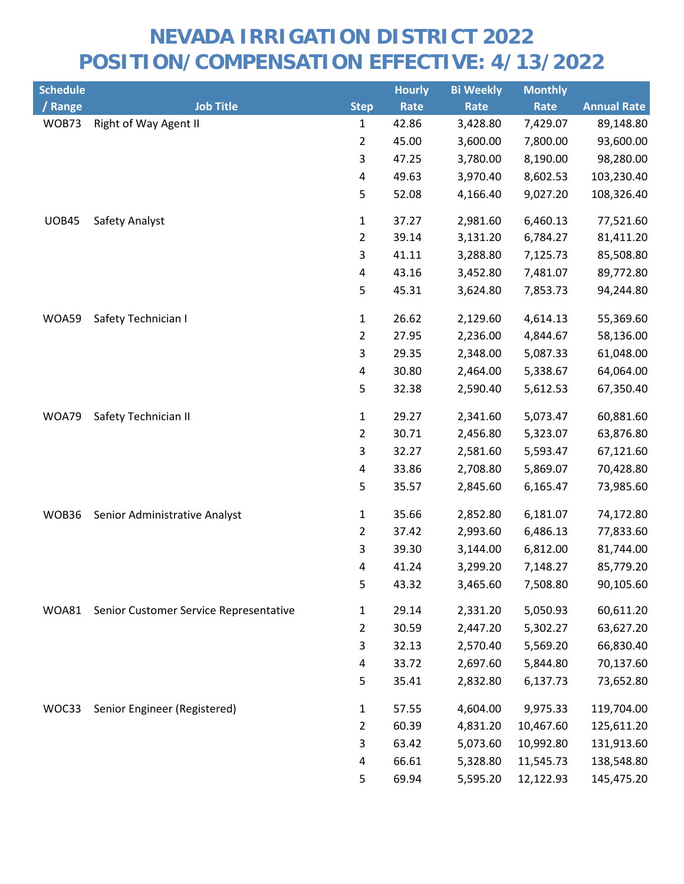| <b>Schedule</b> |                                        |                | <b>Hourly</b> | <b>Bi Weekly</b> | <b>Monthly</b> |                    |
|-----------------|----------------------------------------|----------------|---------------|------------------|----------------|--------------------|
| / Range         | <b>Job Title</b>                       | <b>Step</b>    | Rate          | <b>Rate</b>      | Rate           | <b>Annual Rate</b> |
| WOB73           | Right of Way Agent II                  | 1              | 42.86         | 3,428.80         | 7,429.07       | 89,148.80          |
|                 |                                        | $\overline{2}$ | 45.00         | 3,600.00         | 7,800.00       | 93,600.00          |
|                 |                                        | 3              | 47.25         | 3,780.00         | 8,190.00       | 98,280.00          |
|                 |                                        | $\pmb{4}$      | 49.63         | 3,970.40         | 8,602.53       | 103,230.40         |
|                 |                                        | 5              | 52.08         | 4,166.40         | 9,027.20       | 108,326.40         |
| <b>UOB45</b>    | Safety Analyst                         | $\mathbf{1}$   | 37.27         | 2,981.60         | 6,460.13       | 77,521.60          |
|                 |                                        | $\overline{2}$ | 39.14         | 3,131.20         | 6,784.27       | 81,411.20          |
|                 |                                        | 3              | 41.11         | 3,288.80         | 7,125.73       | 85,508.80          |
|                 |                                        | 4              | 43.16         | 3,452.80         | 7,481.07       | 89,772.80          |
|                 |                                        | 5              | 45.31         | 3,624.80         | 7,853.73       | 94,244.80          |
| WOA59           | Safety Technician I                    | $\mathbf{1}$   | 26.62         | 2,129.60         | 4,614.13       | 55,369.60          |
|                 |                                        | $\overline{2}$ | 27.95         | 2,236.00         | 4,844.67       | 58,136.00          |
|                 |                                        | 3              | 29.35         | 2,348.00         | 5,087.33       | 61,048.00          |
|                 |                                        | 4              | 30.80         | 2,464.00         | 5,338.67       | 64,064.00          |
|                 |                                        | 5              | 32.38         | 2,590.40         | 5,612.53       | 67,350.40          |
| WOA79           | Safety Technician II                   | $\mathbf{1}$   | 29.27         | 2,341.60         | 5,073.47       | 60,881.60          |
|                 |                                        | $\overline{2}$ | 30.71         | 2,456.80         | 5,323.07       | 63,876.80          |
|                 |                                        | 3              | 32.27         | 2,581.60         | 5,593.47       | 67,121.60          |
|                 |                                        | 4              | 33.86         | 2,708.80         | 5,869.07       | 70,428.80          |
|                 |                                        | 5              | 35.57         | 2,845.60         | 6,165.47       | 73,985.60          |
| WOB36           | Senior Administrative Analyst          | $\mathbf{1}$   | 35.66         | 2,852.80         | 6,181.07       | 74,172.80          |
|                 |                                        | $\overline{2}$ | 37.42         | 2,993.60         | 6,486.13       | 77,833.60          |
|                 |                                        | 3              | 39.30         | 3,144.00         | 6,812.00       | 81,744.00          |
|                 |                                        | 4              | 41.24         | 3,299.20         | 7,148.27       | 85,779.20          |
|                 |                                        | 5              | 43.32         | 3,465.60         | 7,508.80       | 90,105.60          |
| WOA81           | Senior Customer Service Representative | $\mathbf{1}$   | 29.14         | 2,331.20         | 5,050.93       | 60,611.20          |
|                 |                                        | $\overline{2}$ | 30.59         | 2,447.20         | 5,302.27       | 63,627.20          |
|                 |                                        | 3              | 32.13         | 2,570.40         | 5,569.20       | 66,830.40          |
|                 |                                        | 4              | 33.72         | 2,697.60         | 5,844.80       | 70,137.60          |
|                 |                                        | 5              | 35.41         | 2,832.80         | 6,137.73       | 73,652.80          |
| WOC33           | Senior Engineer (Registered)           | $\mathbf{1}$   | 57.55         | 4,604.00         | 9,975.33       | 119,704.00         |
|                 |                                        | $\overline{2}$ | 60.39         | 4,831.20         | 10,467.60      | 125,611.20         |
|                 |                                        | 3              | 63.42         | 5,073.60         | 10,992.80      | 131,913.60         |
|                 |                                        | 4              | 66.61         | 5,328.80         | 11,545.73      | 138,548.80         |
|                 |                                        | 5              | 69.94         | 5,595.20         | 12,122.93      | 145,475.20         |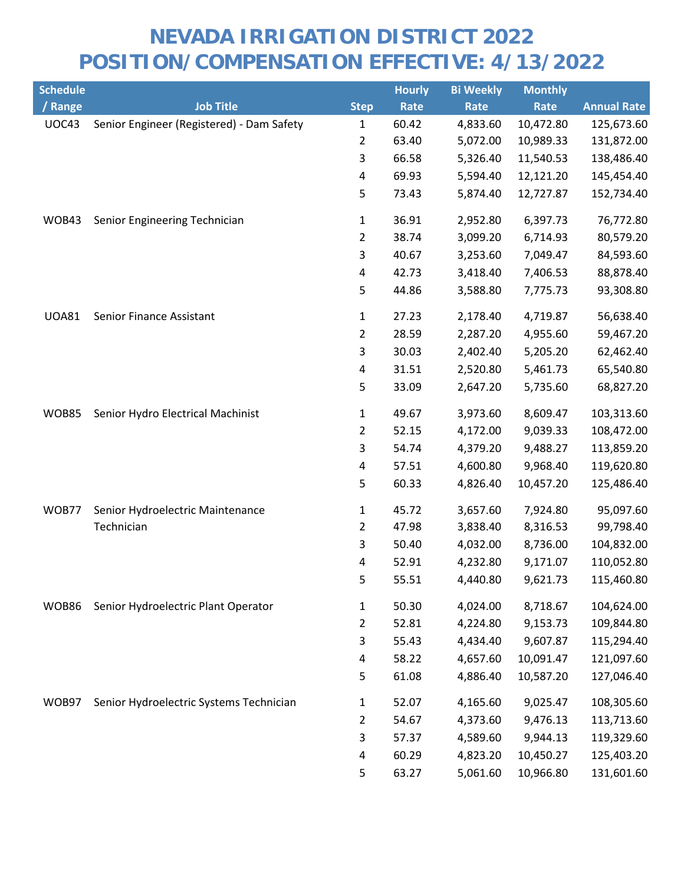| <b>Schedule</b> |                                           |                         | <b>Hourly</b> | <b>Bi Weekly</b> | <b>Monthly</b> |                    |
|-----------------|-------------------------------------------|-------------------------|---------------|------------------|----------------|--------------------|
| / Range         | <b>Job Title</b>                          | <b>Step</b>             | Rate          | Rate             | Rate           | <b>Annual Rate</b> |
| UOC43           | Senior Engineer (Registered) - Dam Safety | 1                       | 60.42         | 4,833.60         | 10,472.80      | 125,673.60         |
|                 |                                           | $\overline{2}$          | 63.40         | 5,072.00         | 10,989.33      | 131,872.00         |
|                 |                                           | 3                       | 66.58         | 5,326.40         | 11,540.53      | 138,486.40         |
|                 |                                           | $\overline{\mathbf{4}}$ | 69.93         | 5,594.40         | 12,121.20      | 145,454.40         |
|                 |                                           | 5                       | 73.43         | 5,874.40         | 12,727.87      | 152,734.40         |
| WOB43           | Senior Engineering Technician             | $\mathbf{1}$            | 36.91         | 2,952.80         | 6,397.73       | 76,772.80          |
|                 |                                           | $\overline{2}$          | 38.74         | 3,099.20         | 6,714.93       | 80,579.20          |
|                 |                                           | 3                       | 40.67         | 3,253.60         | 7,049.47       | 84,593.60          |
|                 |                                           | $\pmb{4}$               | 42.73         | 3,418.40         | 7,406.53       | 88,878.40          |
|                 |                                           | 5                       | 44.86         | 3,588.80         | 7,775.73       | 93,308.80          |
| <b>UOA81</b>    | Senior Finance Assistant                  | $\mathbf{1}$            | 27.23         | 2,178.40         | 4,719.87       | 56,638.40          |
|                 |                                           | $\overline{2}$          | 28.59         | 2,287.20         | 4,955.60       | 59,467.20          |
|                 |                                           | 3                       | 30.03         | 2,402.40         | 5,205.20       | 62,462.40          |
|                 |                                           | 4                       | 31.51         | 2,520.80         | 5,461.73       | 65,540.80          |
|                 |                                           | 5                       | 33.09         | 2,647.20         | 5,735.60       | 68,827.20          |
| <b>WOB85</b>    | Senior Hydro Electrical Machinist         | 1                       | 49.67         | 3,973.60         | 8,609.47       | 103,313.60         |
|                 |                                           | $\overline{2}$          | 52.15         | 4,172.00         | 9,039.33       | 108,472.00         |
|                 |                                           | 3                       | 54.74         | 4,379.20         | 9,488.27       | 113,859.20         |
|                 |                                           | 4                       | 57.51         | 4,600.80         | 9,968.40       | 119,620.80         |
|                 |                                           | 5                       | 60.33         | 4,826.40         | 10,457.20      | 125,486.40         |
| WOB77           | Senior Hydroelectric Maintenance          | $\mathbf{1}$            | 45.72         | 3,657.60         | 7,924.80       | 95,097.60          |
|                 | Technician                                | $\overline{2}$          | 47.98         | 3,838.40         | 8,316.53       | 99,798.40          |
|                 |                                           | 3                       | 50.40         | 4,032.00         | 8,736.00       | 104,832.00         |
|                 |                                           | $\overline{\mathbf{4}}$ | 52.91         | 4,232.80         | 9,171.07       | 110,052.80         |
|                 |                                           | 5                       | 55.51         | 4,440.80         | 9,621.73       | 115,460.80         |
| WOB86           | Senior Hydroelectric Plant Operator       | $\mathbf{1}$            | 50.30         | 4,024.00         | 8,718.67       | 104,624.00         |
|                 |                                           | $\overline{2}$          | 52.81         | 4,224.80         | 9,153.73       | 109,844.80         |
|                 |                                           | 3                       | 55.43         | 4,434.40         | 9,607.87       | 115,294.40         |
|                 |                                           | 4                       | 58.22         | 4,657.60         | 10,091.47      | 121,097.60         |
|                 |                                           | 5                       | 61.08         | 4,886.40         | 10,587.20      | 127,046.40         |
| WOB97           | Senior Hydroelectric Systems Technician   | $\mathbf{1}$            | 52.07         | 4,165.60         | 9,025.47       | 108,305.60         |
|                 |                                           | 2                       | 54.67         | 4,373.60         | 9,476.13       | 113,713.60         |
|                 |                                           | 3                       | 57.37         | 4,589.60         | 9,944.13       | 119,329.60         |
|                 |                                           | 4                       | 60.29         | 4,823.20         | 10,450.27      | 125,403.20         |
|                 |                                           | 5                       | 63.27         | 5,061.60         | 10,966.80      | 131,601.60         |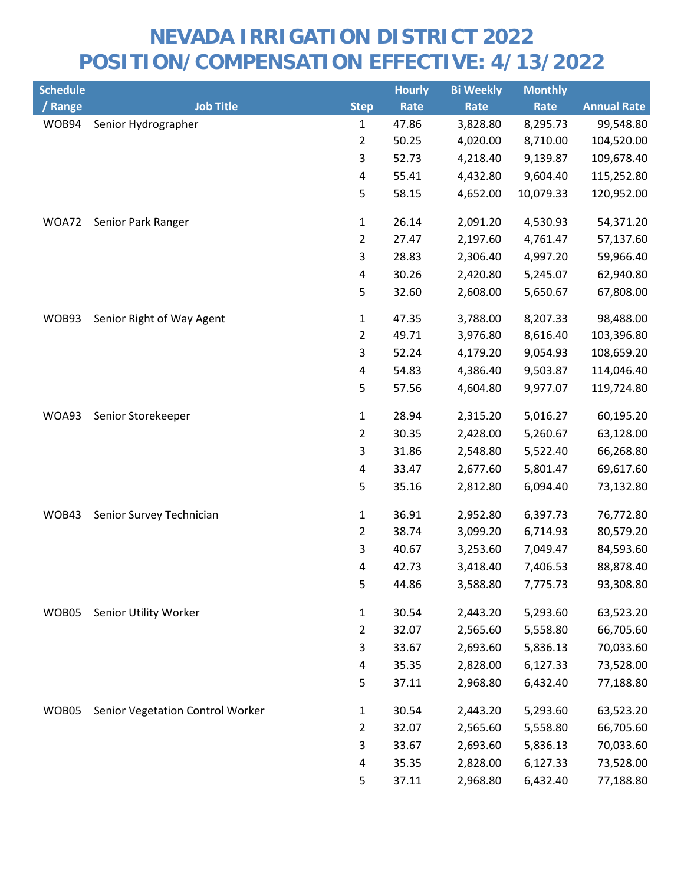| <b>Schedule</b> |                                  |                         | <b>Hourly</b> | <b>Bi Weekly</b> | <b>Monthly</b> |                    |
|-----------------|----------------------------------|-------------------------|---------------|------------------|----------------|--------------------|
| / Range         | <b>Job Title</b>                 | <b>Step</b>             | Rate          | Rate             | Rate           | <b>Annual Rate</b> |
| WOB94           | Senior Hydrographer              | $\mathbf{1}$            | 47.86         | 3,828.80         | 8,295.73       | 99,548.80          |
|                 |                                  | $\overline{2}$          | 50.25         | 4,020.00         | 8,710.00       | 104,520.00         |
|                 |                                  | 3                       | 52.73         | 4,218.40         | 9,139.87       | 109,678.40         |
|                 |                                  | $\overline{\mathbf{4}}$ | 55.41         | 4,432.80         | 9,604.40       | 115,252.80         |
|                 |                                  | 5                       | 58.15         | 4,652.00         | 10,079.33      | 120,952.00         |
| WOA72           | Senior Park Ranger               | $\mathbf{1}$            | 26.14         | 2,091.20         | 4,530.93       | 54,371.20          |
|                 |                                  | $\overline{2}$          | 27.47         | 2,197.60         | 4,761.47       | 57,137.60          |
|                 |                                  | 3                       | 28.83         | 2,306.40         | 4,997.20       | 59,966.40          |
|                 |                                  | 4                       | 30.26         | 2,420.80         | 5,245.07       | 62,940.80          |
|                 |                                  | 5                       | 32.60         | 2,608.00         | 5,650.67       | 67,808.00          |
| WOB93           | Senior Right of Way Agent        | $\mathbf{1}$            | 47.35         | 3,788.00         | 8,207.33       | 98,488.00          |
|                 |                                  | $\overline{2}$          | 49.71         | 3,976.80         | 8,616.40       | 103,396.80         |
|                 |                                  | 3                       | 52.24         | 4,179.20         | 9,054.93       | 108,659.20         |
|                 |                                  | 4                       | 54.83         | 4,386.40         | 9,503.87       | 114,046.40         |
|                 |                                  | 5                       | 57.56         | 4,604.80         | 9,977.07       | 119,724.80         |
| WOA93           | Senior Storekeeper               | $\mathbf 1$             | 28.94         | 2,315.20         | 5,016.27       | 60,195.20          |
|                 |                                  | $\overline{2}$          | 30.35         | 2,428.00         | 5,260.67       | 63,128.00          |
|                 |                                  | 3                       | 31.86         | 2,548.80         | 5,522.40       | 66,268.80          |
|                 |                                  | 4                       | 33.47         | 2,677.60         | 5,801.47       | 69,617.60          |
|                 |                                  | 5                       | 35.16         | 2,812.80         | 6,094.40       | 73,132.80          |
| WOB43           | Senior Survey Technician         | $\mathbf{1}$            | 36.91         | 2,952.80         | 6,397.73       | 76,772.80          |
|                 |                                  | $\overline{2}$          | 38.74         | 3,099.20         | 6,714.93       | 80,579.20          |
|                 |                                  | 3                       | 40.67         | 3,253.60         | 7,049.47       | 84,593.60          |
|                 |                                  | 4                       | 42.73         | 3,418.40         | 7,406.53       | 88,878.40          |
|                 |                                  | 5                       | 44.86         | 3,588.80         | 7,775.73       | 93,308.80          |
| WOB05           | Senior Utility Worker            | $\mathbf{1}$            | 30.54         | 2,443.20         | 5,293.60       | 63,523.20          |
|                 |                                  | $\overline{2}$          | 32.07         | 2,565.60         | 5,558.80       | 66,705.60          |
|                 |                                  | 3                       | 33.67         | 2,693.60         | 5,836.13       | 70,033.60          |
|                 |                                  | 4                       | 35.35         | 2,828.00         | 6,127.33       | 73,528.00          |
|                 |                                  | 5                       | 37.11         | 2,968.80         | 6,432.40       | 77,188.80          |
| WOB05           | Senior Vegetation Control Worker | $\mathbf{1}$            | 30.54         | 2,443.20         | 5,293.60       | 63,523.20          |
|                 |                                  | $\overline{2}$          | 32.07         | 2,565.60         | 5,558.80       | 66,705.60          |
|                 |                                  | 3                       | 33.67         | 2,693.60         | 5,836.13       | 70,033.60          |
|                 |                                  | 4                       | 35.35         | 2,828.00         | 6,127.33       | 73,528.00          |
|                 |                                  | 5                       | 37.11         | 2,968.80         | 6,432.40       | 77,188.80          |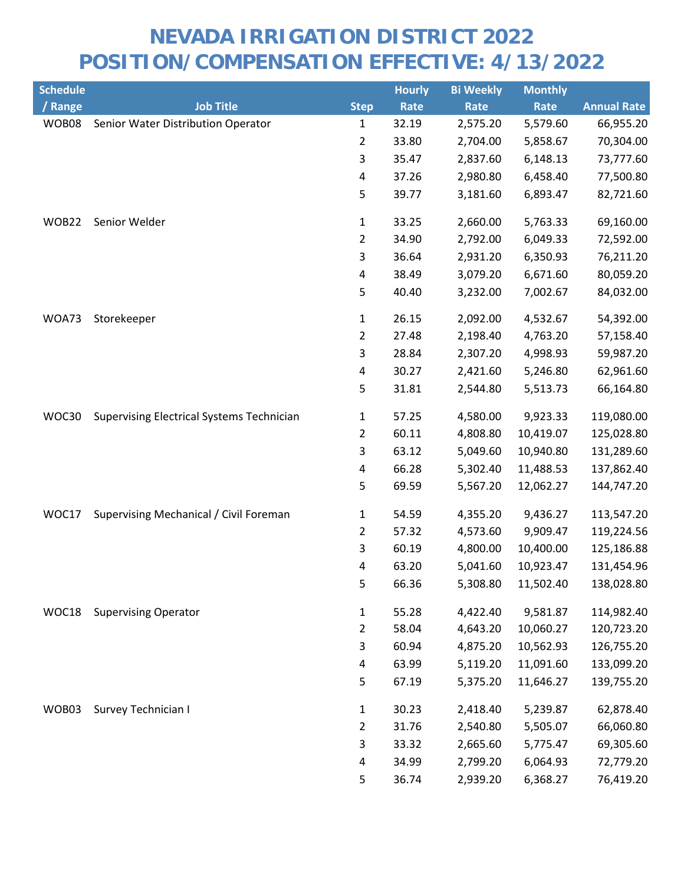| <b>Schedule</b> |                                                  |                         | <b>Hourly</b> | <b>Bi Weekly</b> | <b>Monthly</b> |                    |
|-----------------|--------------------------------------------------|-------------------------|---------------|------------------|----------------|--------------------|
| / Range         | <b>Job Title</b>                                 | <b>Step</b>             | Rate          | Rate             | Rate           | <b>Annual Rate</b> |
| WOB08           | Senior Water Distribution Operator               | $\mathbf{1}$            | 32.19         | 2,575.20         | 5,579.60       | 66,955.20          |
|                 |                                                  | $\overline{2}$          | 33.80         | 2,704.00         | 5,858.67       | 70,304.00          |
|                 |                                                  | 3                       | 35.47         | 2,837.60         | 6,148.13       | 73,777.60          |
|                 |                                                  | $\pmb{4}$               | 37.26         | 2,980.80         | 6,458.40       | 77,500.80          |
|                 |                                                  | 5                       | 39.77         | 3,181.60         | 6,893.47       | 82,721.60          |
| WOB22           | Senior Welder                                    | $\mathbf{1}$            | 33.25         | 2,660.00         | 5,763.33       | 69,160.00          |
|                 |                                                  | $\overline{2}$          | 34.90         | 2,792.00         | 6,049.33       | 72,592.00          |
|                 |                                                  | 3                       | 36.64         | 2,931.20         | 6,350.93       | 76,211.20          |
|                 |                                                  | 4                       | 38.49         | 3,079.20         | 6,671.60       | 80,059.20          |
|                 |                                                  | 5                       | 40.40         | 3,232.00         | 7,002.67       | 84,032.00          |
| WOA73           | Storekeeper                                      | $\mathbf{1}$            | 26.15         | 2,092.00         | 4,532.67       | 54,392.00          |
|                 |                                                  | $\overline{2}$          | 27.48         | 2,198.40         | 4,763.20       | 57,158.40          |
|                 |                                                  | 3                       | 28.84         | 2,307.20         | 4,998.93       | 59,987.20          |
|                 |                                                  | 4                       | 30.27         | 2,421.60         | 5,246.80       | 62,961.60          |
|                 |                                                  | 5                       | 31.81         | 2,544.80         | 5,513.73       | 66,164.80          |
| WOC30           | <b>Supervising Electrical Systems Technician</b> | $\mathbf{1}$            | 57.25         | 4,580.00         | 9,923.33       | 119,080.00         |
|                 |                                                  | $\overline{2}$          | 60.11         | 4,808.80         | 10,419.07      | 125,028.80         |
|                 |                                                  | 3                       | 63.12         | 5,049.60         | 10,940.80      | 131,289.60         |
|                 |                                                  | 4                       | 66.28         | 5,302.40         | 11,488.53      | 137,862.40         |
|                 |                                                  | 5                       | 69.59         | 5,567.20         | 12,062.27      | 144,747.20         |
| WOC17           | Supervising Mechanical / Civil Foreman           | $\mathbf 1$             | 54.59         | 4,355.20         | 9,436.27       | 113,547.20         |
|                 |                                                  | $\overline{2}$          | 57.32         | 4,573.60         | 9,909.47       | 119,224.56         |
|                 |                                                  | 3                       | 60.19         | 4,800.00         | 10,400.00      | 125,186.88         |
|                 |                                                  | 4                       | 63.20         | 5,041.60         | 10,923.47      | 131,454.96         |
|                 |                                                  | 5                       | 66.36         | 5,308.80         | 11,502.40      | 138,028.80         |
| WOC18           | <b>Supervising Operator</b>                      | $\mathbf{1}$            | 55.28         | 4,422.40         | 9,581.87       | 114,982.40         |
|                 |                                                  | $\overline{2}$          | 58.04         | 4,643.20         | 10,060.27      | 120,723.20         |
|                 |                                                  | 3                       | 60.94         | 4,875.20         | 10,562.93      | 126,755.20         |
|                 |                                                  | $\overline{4}$          | 63.99         | 5,119.20         | 11,091.60      | 133,099.20         |
|                 |                                                  | 5                       | 67.19         | 5,375.20         | 11,646.27      | 139,755.20         |
| WOB03           | Survey Technician I                              | $\mathbf{1}$            | 30.23         | 2,418.40         | 5,239.87       | 62,878.40          |
|                 |                                                  | $\overline{2}$          | 31.76         | 2,540.80         | 5,505.07       | 66,060.80          |
|                 |                                                  | 3                       | 33.32         | 2,665.60         | 5,775.47       | 69,305.60          |
|                 |                                                  | $\overline{\mathbf{4}}$ | 34.99         | 2,799.20         | 6,064.93       | 72,779.20          |
|                 |                                                  | 5                       | 36.74         | 2,939.20         | 6,368.27       | 76,419.20          |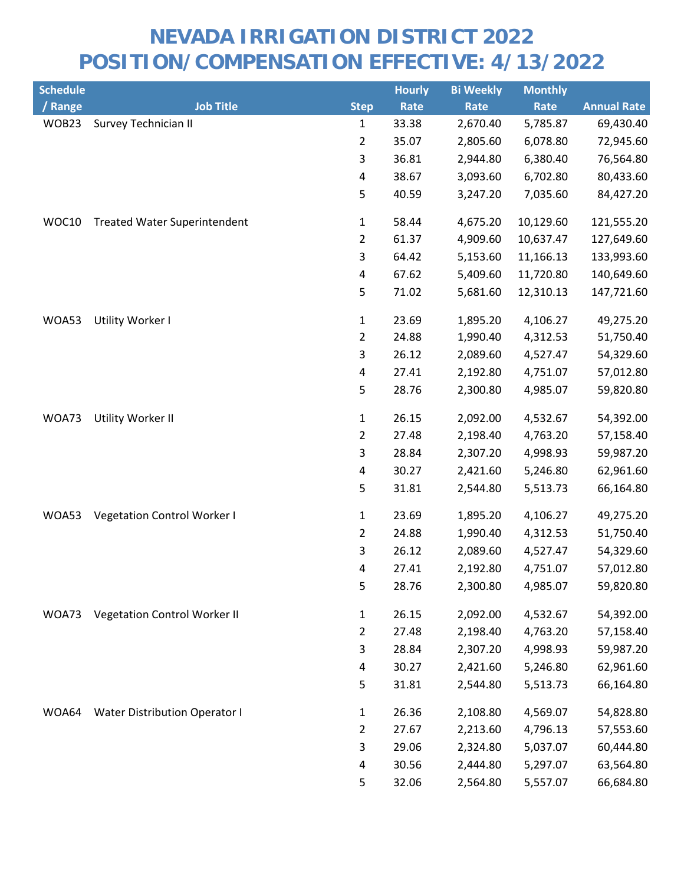| <b>Schedule</b> |                                      |                         | <b>Hourly</b> | <b>Bi Weekly</b> | <b>Monthly</b> |                    |
|-----------------|--------------------------------------|-------------------------|---------------|------------------|----------------|--------------------|
| / Range         | <b>Job Title</b>                     | <b>Step</b>             | Rate          | Rate             | Rate           | <b>Annual Rate</b> |
| WOB23           | Survey Technician II                 | $\mathbf{1}$            | 33.38         | 2,670.40         | 5,785.87       | 69,430.40          |
|                 |                                      | $\overline{2}$          | 35.07         | 2,805.60         | 6,078.80       | 72,945.60          |
|                 |                                      | 3                       | 36.81         | 2,944.80         | 6,380.40       | 76,564.80          |
|                 |                                      | $\overline{\mathbf{4}}$ | 38.67         | 3,093.60         | 6,702.80       | 80,433.60          |
|                 |                                      | 5                       | 40.59         | 3,247.20         | 7,035.60       | 84,427.20          |
| WOC10           | <b>Treated Water Superintendent</b>  | $\mathbf{1}$            | 58.44         | 4,675.20         | 10,129.60      | 121,555.20         |
|                 |                                      | $\overline{2}$          | 61.37         | 4,909.60         | 10,637.47      | 127,649.60         |
|                 |                                      | 3                       | 64.42         | 5,153.60         | 11,166.13      | 133,993.60         |
|                 |                                      | $\overline{\mathbf{4}}$ | 67.62         | 5,409.60         | 11,720.80      | 140,649.60         |
|                 |                                      | 5                       | 71.02         | 5,681.60         | 12,310.13      | 147,721.60         |
| WOA53           | Utility Worker I                     | $\mathbf{1}$            | 23.69         | 1,895.20         | 4,106.27       | 49,275.20          |
|                 |                                      | $\overline{2}$          | 24.88         | 1,990.40         | 4,312.53       | 51,750.40          |
|                 |                                      | 3                       | 26.12         | 2,089.60         | 4,527.47       | 54,329.60          |
|                 |                                      | $\pmb{4}$               | 27.41         | 2,192.80         | 4,751.07       | 57,012.80          |
|                 |                                      | 5                       | 28.76         | 2,300.80         | 4,985.07       | 59,820.80          |
| WOA73           | Utility Worker II                    | $\mathbf{1}$            | 26.15         | 2,092.00         | 4,532.67       | 54,392.00          |
|                 |                                      | $\overline{2}$          | 27.48         | 2,198.40         | 4,763.20       | 57,158.40          |
|                 |                                      | 3                       | 28.84         | 2,307.20         | 4,998.93       | 59,987.20          |
|                 |                                      | $\overline{\mathbf{4}}$ | 30.27         | 2,421.60         | 5,246.80       | 62,961.60          |
|                 |                                      | 5                       | 31.81         | 2,544.80         | 5,513.73       | 66,164.80          |
| WOA53           | Vegetation Control Worker I          | $\mathbf{1}$            | 23.69         | 1,895.20         | 4,106.27       | 49,275.20          |
|                 |                                      | $\overline{2}$          | 24.88         | 1,990.40         | 4,312.53       | 51,750.40          |
|                 |                                      | 3                       | 26.12         | 2,089.60         | 4,527.47       | 54,329.60          |
|                 |                                      | 4                       | 27.41         | 2,192.80         | 4,751.07       | 57,012.80          |
|                 |                                      | 5                       | 28.76         | 2,300.80         | 4,985.07       | 59,820.80          |
| WOA73           | <b>Vegetation Control Worker II</b>  | $\mathbf{1}$            | 26.15         | 2,092.00         | 4,532.67       | 54,392.00          |
|                 |                                      | $\overline{2}$          | 27.48         | 2,198.40         | 4,763.20       | 57,158.40          |
|                 |                                      | 3                       | 28.84         | 2,307.20         | 4,998.93       | 59,987.20          |
|                 |                                      | 4                       | 30.27         | 2,421.60         | 5,246.80       | 62,961.60          |
|                 |                                      | 5                       | 31.81         | 2,544.80         | 5,513.73       | 66,164.80          |
| WOA64           | <b>Water Distribution Operator I</b> | $\mathbf{1}$            | 26.36         | 2,108.80         | 4,569.07       | 54,828.80          |
|                 |                                      | $\overline{2}$          | 27.67         | 2,213.60         | 4,796.13       | 57,553.60          |
|                 |                                      | 3                       | 29.06         | 2,324.80         | 5,037.07       | 60,444.80          |
|                 |                                      | 4                       | 30.56         | 2,444.80         | 5,297.07       | 63,564.80          |
|                 |                                      | 5                       | 32.06         | 2,564.80         | 5,557.07       | 66,684.80          |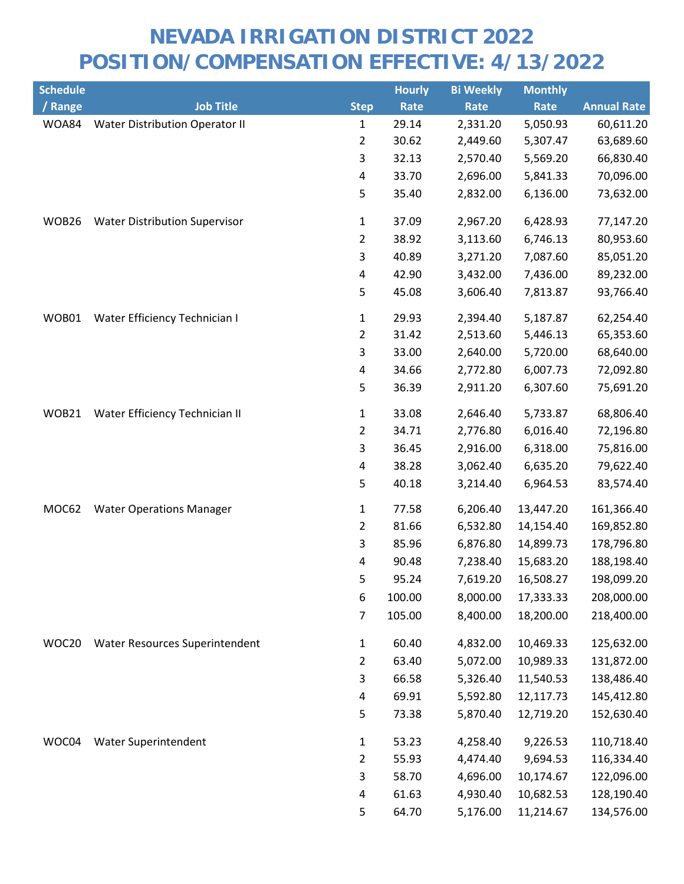| <b>Schedule</b> |                                       |                         | <b>Hourly</b> | <b>Bi Weekly</b> | <b>Monthly</b> |                    |
|-----------------|---------------------------------------|-------------------------|---------------|------------------|----------------|--------------------|
| / Range         | <b>Job Title</b>                      | <b>Step</b>             | Rate          | Rate             | Rate           | <b>Annual Rate</b> |
| WOA84           | <b>Water Distribution Operator II</b> | 1                       | 29.14         | 2,331.20         | 5,050.93       | 60,611.20          |
|                 |                                       | $\overline{2}$          | 30.62         | 2,449.60         | 5,307.47       | 63,689.60          |
|                 |                                       | 3                       | 32.13         | 2,570.40         | 5,569.20       | 66,830.40          |
|                 |                                       | $\overline{\mathbf{4}}$ | 33.70         | 2,696.00         | 5,841.33       | 70,096.00          |
|                 |                                       | 5                       | 35.40         | 2,832.00         | 6,136.00       | 73,632.00          |
| WOB26           | <b>Water Distribution Supervisor</b>  | $\mathbf{1}$            | 37.09         | 2,967.20         | 6,428.93       | 77,147.20          |
|                 |                                       | $\overline{2}$          | 38.92         | 3,113.60         | 6,746.13       | 80,953.60          |
|                 |                                       | $\mathsf{3}$            | 40.89         | 3,271.20         | 7,087.60       | 85,051.20          |
|                 |                                       | 4                       | 42.90         | 3,432.00         | 7,436.00       | 89,232.00          |
|                 |                                       | 5                       | 45.08         | 3,606.40         | 7,813.87       | 93,766.40          |
| WOB01           | Water Efficiency Technician I         | 1                       | 29.93         | 2,394.40         | 5,187.87       | 62,254.40          |
|                 |                                       | $\overline{2}$          | 31.42         | 2,513.60         | 5,446.13       | 65,353.60          |
|                 |                                       | 3                       | 33.00         | 2,640.00         | 5,720.00       | 68,640.00          |
|                 |                                       | 4                       | 34.66         | 2,772.80         | 6,007.73       | 72,092.80          |
|                 |                                       | 5                       | 36.39         | 2,911.20         | 6,307.60       | 75,691.20          |
| WOB21           | Water Efficiency Technician II        | 1                       | 33.08         | 2,646.40         | 5,733.87       | 68,806.40          |
|                 |                                       | $\overline{2}$          | 34.71         | 2,776.80         | 6,016.40       | 72,196.80          |
|                 |                                       | 3                       | 36.45         | 2,916.00         | 6,318.00       | 75,816.00          |
|                 |                                       | 4                       | 38.28         | 3,062.40         | 6,635.20       | 79,622.40          |
|                 |                                       | 5                       | 40.18         | 3,214.40         | 6,964.53       | 83,574.40          |
| MOC62           | <b>Water Operations Manager</b>       | $\mathbf 1$             | 77.58         | 6,206.40         | 13,447.20      | 161,366.40         |
|                 |                                       | $\overline{2}$          | 81.66         | 6,532.80         | 14,154.40      | 169,852.80         |
|                 |                                       | $\mathsf{3}$            | 85.96         | 6,876.80         | 14,899.73      | 178,796.80         |
|                 |                                       | 4                       | 90.48         | 7,238.40         | 15,683.20      | 188,198.40         |
|                 |                                       | 5                       | 95.24         | 7,619.20         | 16,508.27      | 198,099.20         |
|                 |                                       | 6                       | 100.00        | 8,000.00         | 17,333.33      | 208,000.00         |
|                 |                                       | 7                       | 105.00        | 8,400.00         | 18,200.00      | 218,400.00         |
| WOC20           | Water Resources Superintendent        | $\mathbf{1}$            | 60.40         | 4,832.00         | 10,469.33      | 125,632.00         |
|                 |                                       | $\overline{2}$          | 63.40         | 5,072.00         | 10,989.33      | 131,872.00         |
|                 |                                       | 3                       | 66.58         | 5,326.40         | 11,540.53      | 138,486.40         |
|                 |                                       | 4                       | 69.91         | 5,592.80         | 12,117.73      | 145,412.80         |
|                 |                                       | 5                       | 73.38         | 5,870.40         | 12,719.20      | 152,630.40         |
| WOC04           | Water Superintendent                  | $\mathbf{1}$            | 53.23         | 4,258.40         | 9,226.53       | 110,718.40         |
|                 |                                       | $\overline{2}$          | 55.93         | 4,474.40         | 9,694.53       | 116,334.40         |
|                 |                                       | 3                       | 58.70         | 4,696.00         | 10,174.67      | 122,096.00         |
|                 |                                       | 4                       | 61.63         | 4,930.40         | 10,682.53      | 128,190.40         |
|                 |                                       | 5                       | 64.70         | 5,176.00         | 11,214.67      | 134,576.00         |